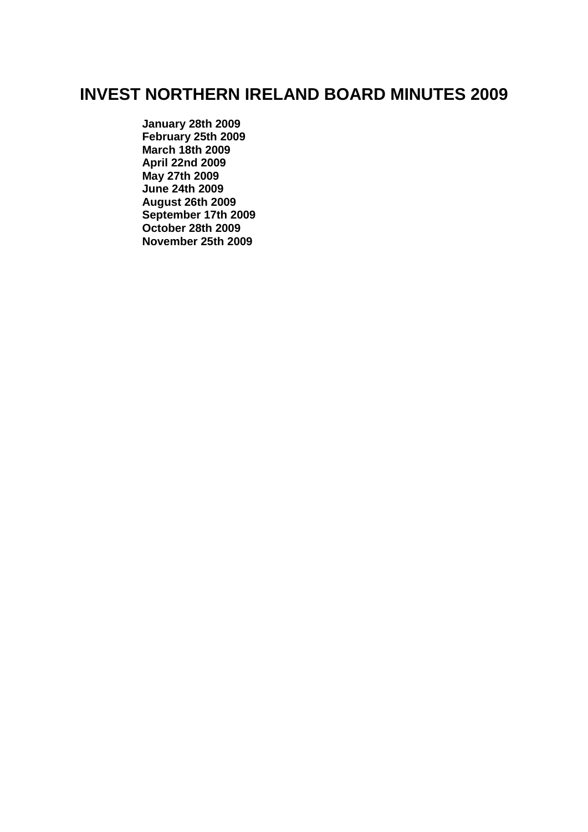# **INVEST NORTHERN IRELAND BOARD MINUTES 2009**

**[January 28th 2009](#page-1-0) [February 25th 2009](#page-9-0) [March 18th 2009](#page-16-0) [April 22nd 2009](#page-24-0) [May 27th 2009](#page-33-0) [June 24th 2009](#page-41-0) [August 26th 2009](#page-47-0) [September 17th 2009](#page-53-0) [October 28th 2009](#page-59-0) [November 25th 2009](#page-65-0)**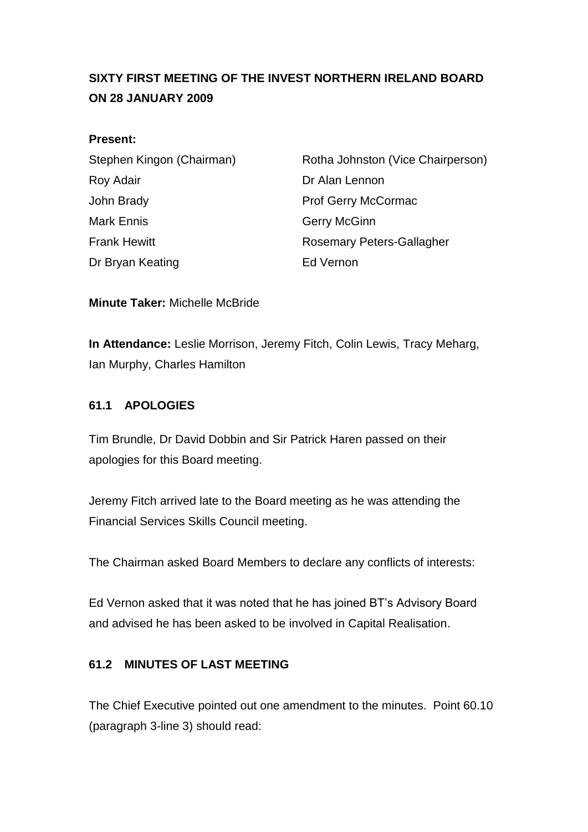# <span id="page-1-0"></span>**SIXTY FIRST MEETING OF THE INVEST NORTHERN IRELAND BOARD ON 28 JANUARY 2009**

#### **Present:**

| Stephen Kingon (Chairman) | Rotha Johnston (Vice Chairperson) |
|---------------------------|-----------------------------------|
| Roy Adair                 | Dr Alan Lennon                    |
| John Brady                | <b>Prof Gerry McCormac</b>        |
| Mark Ennis                | <b>Gerry McGinn</b>               |
| <b>Frank Hewitt</b>       | <b>Rosemary Peters-Gallagher</b>  |
| Dr Bryan Keating          | Ed Vernon                         |

**Minute Taker:** Michelle McBride

**In Attendance:** Leslie Morrison, Jeremy Fitch, Colin Lewis, Tracy Meharg, Ian Murphy, Charles Hamilton

## **61.1 APOLOGIES**

Tim Brundle, Dr David Dobbin and Sir Patrick Haren passed on their apologies for this Board meeting.

Jeremy Fitch arrived late to the Board meeting as he was attending the Financial Services Skills Council meeting.

The Chairman asked Board Members to declare any conflicts of interests:

Ed Vernon asked that it was noted that he has joined BT"s Advisory Board and advised he has been asked to be involved in Capital Realisation.

## **61.2 MINUTES OF LAST MEETING**

The Chief Executive pointed out one amendment to the minutes. Point 60.10 (paragraph 3-line 3) should read: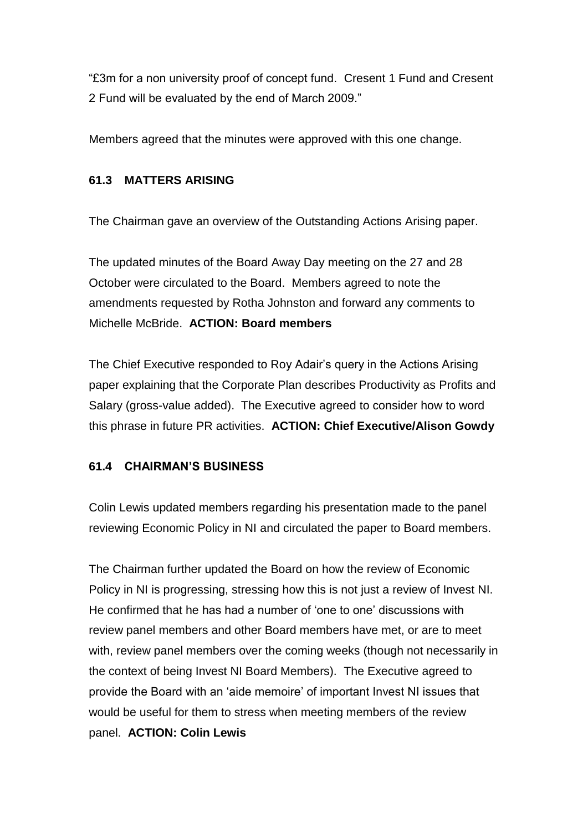"£3m for a non university proof of concept fund. Cresent 1 Fund and Cresent 2 Fund will be evaluated by the end of March 2009."

Members agreed that the minutes were approved with this one change.

## **61.3 MATTERS ARISING**

The Chairman gave an overview of the Outstanding Actions Arising paper.

The updated minutes of the Board Away Day meeting on the 27 and 28 October were circulated to the Board. Members agreed to note the amendments requested by Rotha Johnston and forward any comments to Michelle McBride. **ACTION: Board members**

The Chief Executive responded to Roy Adair"s query in the Actions Arising paper explaining that the Corporate Plan describes Productivity as Profits and Salary (gross-value added). The Executive agreed to consider how to word this phrase in future PR activities. **ACTION: Chief Executive/Alison Gowdy**

# **61.4 CHAIRMAN'S BUSINESS**

Colin Lewis updated members regarding his presentation made to the panel reviewing Economic Policy in NI and circulated the paper to Board members.

The Chairman further updated the Board on how the review of Economic Policy in NI is progressing, stressing how this is not just a review of Invest NI. He confirmed that he has had a number of "one to one" discussions with review panel members and other Board members have met, or are to meet with, review panel members over the coming weeks (though not necessarily in the context of being Invest NI Board Members). The Executive agreed to provide the Board with an "aide memoire" of important Invest NI issues that would be useful for them to stress when meeting members of the review panel. **ACTION: Colin Lewis**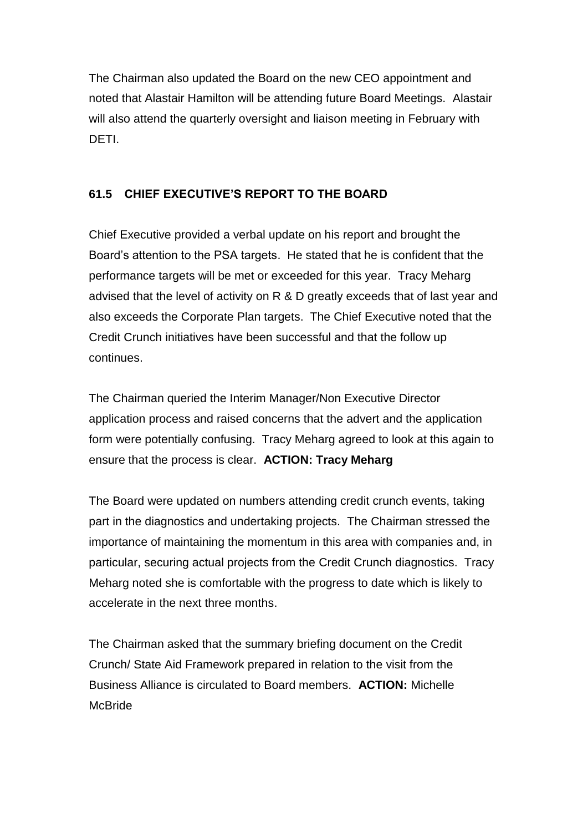The Chairman also updated the Board on the new CEO appointment and noted that Alastair Hamilton will be attending future Board Meetings. Alastair will also attend the quarterly oversight and liaison meeting in February with DETI.

# **61.5 CHIEF EXECUTIVE'S REPORT TO THE BOARD**

Chief Executive provided a verbal update on his report and brought the Board"s attention to the PSA targets. He stated that he is confident that the performance targets will be met or exceeded for this year. Tracy Meharg advised that the level of activity on R & D greatly exceeds that of last year and also exceeds the Corporate Plan targets. The Chief Executive noted that the Credit Crunch initiatives have been successful and that the follow up continues.

The Chairman queried the Interim Manager/Non Executive Director application process and raised concerns that the advert and the application form were potentially confusing. Tracy Meharg agreed to look at this again to ensure that the process is clear. **ACTION: Tracy Meharg**

The Board were updated on numbers attending credit crunch events, taking part in the diagnostics and undertaking projects. The Chairman stressed the importance of maintaining the momentum in this area with companies and, in particular, securing actual projects from the Credit Crunch diagnostics. Tracy Meharg noted she is comfortable with the progress to date which is likely to accelerate in the next three months.

The Chairman asked that the summary briefing document on the Credit Crunch/ State Aid Framework prepared in relation to the visit from the Business Alliance is circulated to Board members. **ACTION:** Michelle **McBride**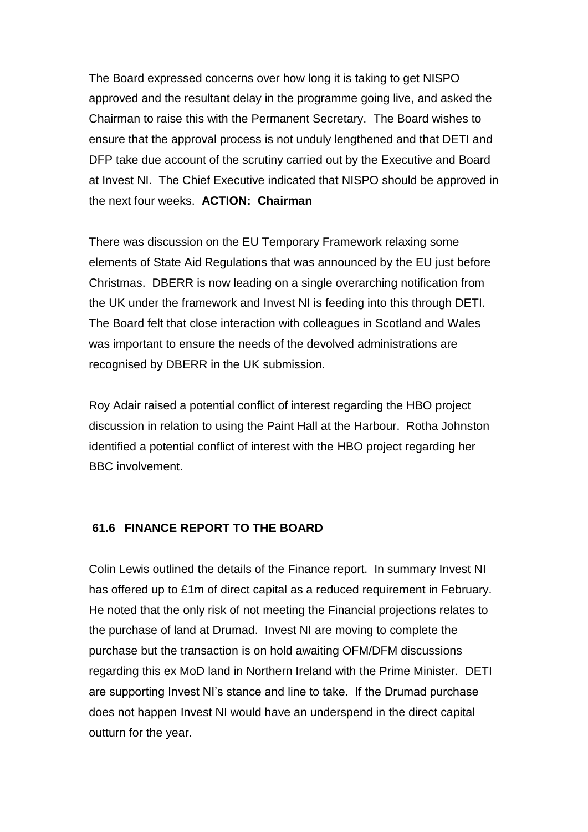The Board expressed concerns over how long it is taking to get NISPO approved and the resultant delay in the programme going live, and asked the Chairman to raise this with the Permanent Secretary. The Board wishes to ensure that the approval process is not unduly lengthened and that DETI and DFP take due account of the scrutiny carried out by the Executive and Board at Invest NI. The Chief Executive indicated that NISPO should be approved in the next four weeks. **ACTION: Chairman**

There was discussion on the EU Temporary Framework relaxing some elements of State Aid Regulations that was announced by the EU just before Christmas. DBERR is now leading on a single overarching notification from the UK under the framework and Invest NI is feeding into this through DETI. The Board felt that close interaction with colleagues in Scotland and Wales was important to ensure the needs of the devolved administrations are recognised by DBERR in the UK submission.

Roy Adair raised a potential conflict of interest regarding the HBO project discussion in relation to using the Paint Hall at the Harbour. Rotha Johnston identified a potential conflict of interest with the HBO project regarding her BBC involvement.

#### **61.6 FINANCE REPORT TO THE BOARD**

Colin Lewis outlined the details of the Finance report. In summary Invest NI has offered up to £1m of direct capital as a reduced requirement in February. He noted that the only risk of not meeting the Financial projections relates to the purchase of land at Drumad. Invest NI are moving to complete the purchase but the transaction is on hold awaiting OFM/DFM discussions regarding this ex MoD land in Northern Ireland with the Prime Minister. DETI are supporting Invest NI"s stance and line to take. If the Drumad purchase does not happen Invest NI would have an underspend in the direct capital outturn for the year.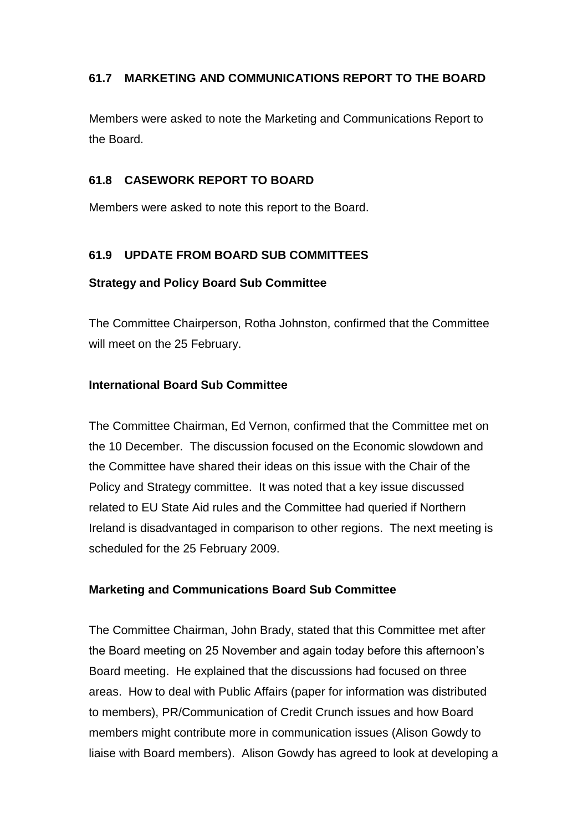# **61.7 MARKETING AND COMMUNICATIONS REPORT TO THE BOARD**

Members were asked to note the Marketing and Communications Report to the Board.

#### **61.8 CASEWORK REPORT TO BOARD**

Members were asked to note this report to the Board.

## **61.9 UPDATE FROM BOARD SUB COMMITTEES**

#### **Strategy and Policy Board Sub Committee**

The Committee Chairperson, Rotha Johnston, confirmed that the Committee will meet on the 25 February.

#### **International Board Sub Committee**

The Committee Chairman, Ed Vernon, confirmed that the Committee met on the 10 December. The discussion focused on the Economic slowdown and the Committee have shared their ideas on this issue with the Chair of the Policy and Strategy committee. It was noted that a key issue discussed related to EU State Aid rules and the Committee had queried if Northern Ireland is disadvantaged in comparison to other regions. The next meeting is scheduled for the 25 February 2009.

## **Marketing and Communications Board Sub Committee**

The Committee Chairman, John Brady, stated that this Committee met after the Board meeting on 25 November and again today before this afternoon"s Board meeting. He explained that the discussions had focused on three areas. How to deal with Public Affairs (paper for information was distributed to members), PR/Communication of Credit Crunch issues and how Board members might contribute more in communication issues (Alison Gowdy to liaise with Board members). Alison Gowdy has agreed to look at developing a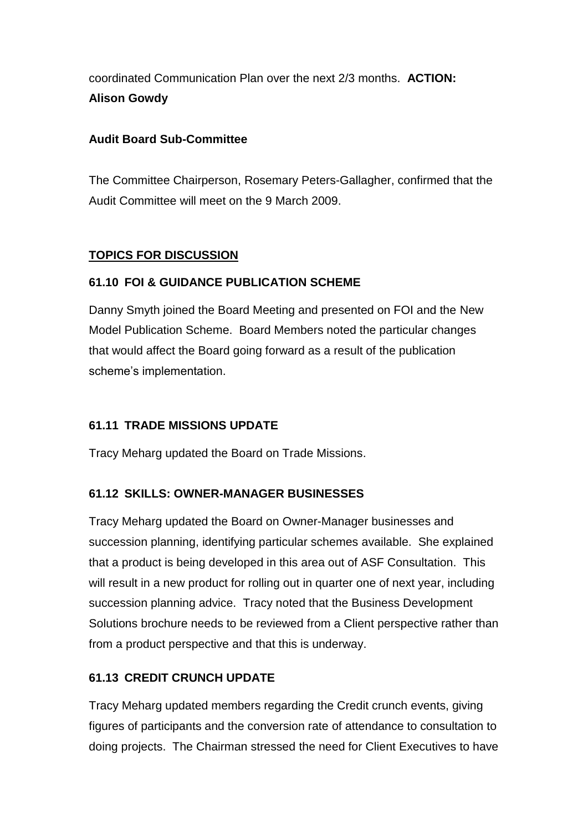coordinated Communication Plan over the next 2/3 months. **ACTION: Alison Gowdy**

## **Audit Board Sub-Committee**

The Committee Chairperson, Rosemary Peters-Gallagher, confirmed that the Audit Committee will meet on the 9 March 2009.

# **TOPICS FOR DISCUSSION**

# **61.10 FOI & GUIDANCE PUBLICATION SCHEME**

Danny Smyth joined the Board Meeting and presented on FOI and the New Model Publication Scheme. Board Members noted the particular changes that would affect the Board going forward as a result of the publication scheme's implementation.

# **61.11 TRADE MISSIONS UPDATE**

Tracy Meharg updated the Board on Trade Missions.

# **61.12 SKILLS: OWNER-MANAGER BUSINESSES**

Tracy Meharg updated the Board on Owner-Manager businesses and succession planning, identifying particular schemes available. She explained that a product is being developed in this area out of ASF Consultation. This will result in a new product for rolling out in quarter one of next year, including succession planning advice. Tracy noted that the Business Development Solutions brochure needs to be reviewed from a Client perspective rather than from a product perspective and that this is underway.

# **61.13 CREDIT CRUNCH UPDATE**

Tracy Meharg updated members regarding the Credit crunch events, giving figures of participants and the conversion rate of attendance to consultation to doing projects. The Chairman stressed the need for Client Executives to have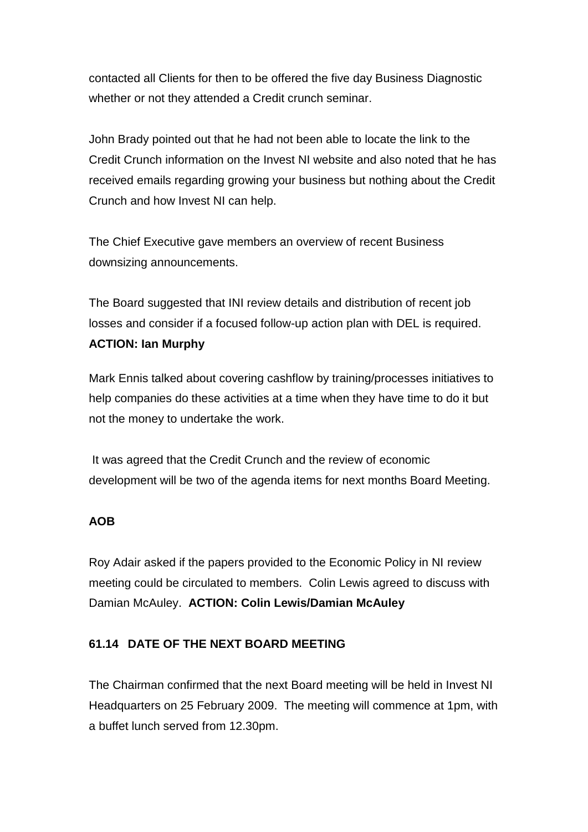contacted all Clients for then to be offered the five day Business Diagnostic whether or not they attended a Credit crunch seminar.

John Brady pointed out that he had not been able to locate the link to the Credit Crunch information on the Invest NI website and also noted that he has received emails regarding growing your business but nothing about the Credit Crunch and how Invest NI can help.

The Chief Executive gave members an overview of recent Business downsizing announcements.

The Board suggested that INI review details and distribution of recent job losses and consider if a focused follow-up action plan with DEL is required. **ACTION: Ian Murphy**

Mark Ennis talked about covering cashflow by training/processes initiatives to help companies do these activities at a time when they have time to do it but not the money to undertake the work.

It was agreed that the Credit Crunch and the review of economic development will be two of the agenda items for next months Board Meeting.

## **AOB**

Roy Adair asked if the papers provided to the Economic Policy in NI review meeting could be circulated to members. Colin Lewis agreed to discuss with Damian McAuley. **ACTION: Colin Lewis/Damian McAuley**

## **61.14 DATE OF THE NEXT BOARD MEETING**

The Chairman confirmed that the next Board meeting will be held in Invest NI Headquarters on 25 February 2009. The meeting will commence at 1pm, with a buffet lunch served from 12.30pm.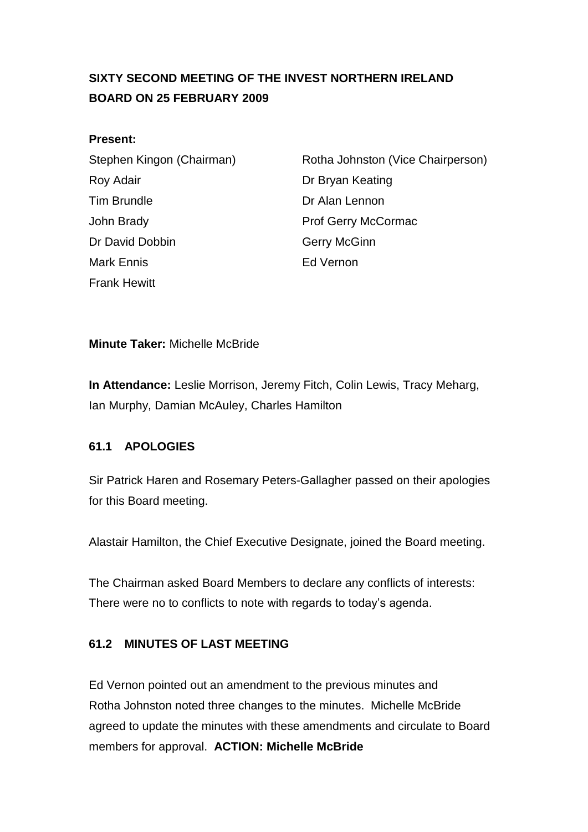# <span id="page-9-0"></span>**SIXTY SECOND MEETING OF THE INVEST NORTHERN IRELAND BOARD ON 25 FEBRUARY 2009**

#### **Present:**

Roy Adair **Note 2018 Dr Bryan Keating** Tim Brundle **Dr Alan Lennon** John Brady **Prof Gerry McCormac** Dr David Dobbin Gerry McGinn Mark Ennis Ed Vernon Frank Hewitt

Stephen Kingon (Chairman) Rotha Johnston (Vice Chairperson)

## **Minute Taker:** Michelle McBride

**In Attendance:** Leslie Morrison, Jeremy Fitch, Colin Lewis, Tracy Meharg, Ian Murphy, Damian McAuley, Charles Hamilton

## **61.1 APOLOGIES**

Sir Patrick Haren and Rosemary Peters-Gallagher passed on their apologies for this Board meeting.

Alastair Hamilton, the Chief Executive Designate, joined the Board meeting.

The Chairman asked Board Members to declare any conflicts of interests: There were no to conflicts to note with regards to today's agenda.

## **61.2 MINUTES OF LAST MEETING**

Ed Vernon pointed out an amendment to the previous minutes and Rotha Johnston noted three changes to the minutes. Michelle McBride agreed to update the minutes with these amendments and circulate to Board members for approval. **ACTION: Michelle McBride**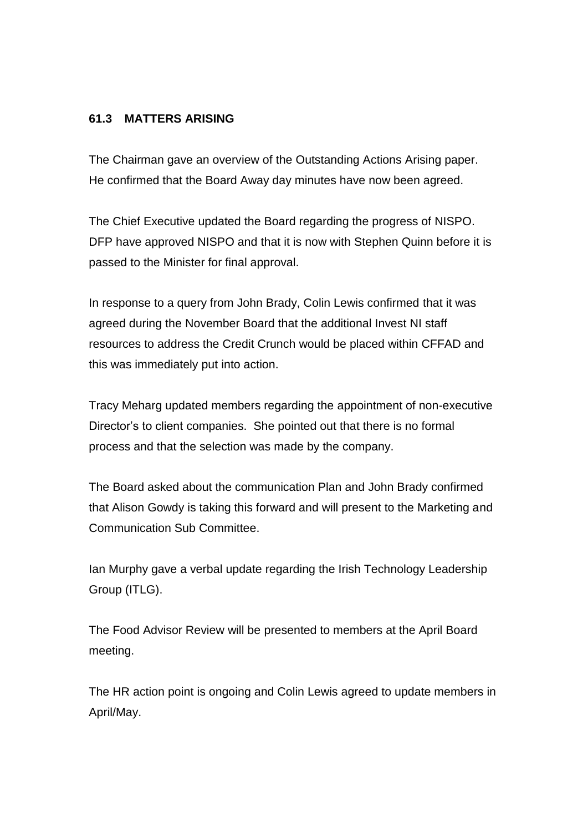#### **61.3 MATTERS ARISING**

The Chairman gave an overview of the Outstanding Actions Arising paper. He confirmed that the Board Away day minutes have now been agreed.

The Chief Executive updated the Board regarding the progress of NISPO. DFP have approved NISPO and that it is now with Stephen Quinn before it is passed to the Minister for final approval.

In response to a query from John Brady, Colin Lewis confirmed that it was agreed during the November Board that the additional Invest NI staff resources to address the Credit Crunch would be placed within CFFAD and this was immediately put into action.

Tracy Meharg updated members regarding the appointment of non-executive Director's to client companies. She pointed out that there is no formal process and that the selection was made by the company.

The Board asked about the communication Plan and John Brady confirmed that Alison Gowdy is taking this forward and will present to the Marketing and Communication Sub Committee.

Ian Murphy gave a verbal update regarding the Irish Technology Leadership Group (ITLG).

The Food Advisor Review will be presented to members at the April Board meeting.

The HR action point is ongoing and Colin Lewis agreed to update members in April/May.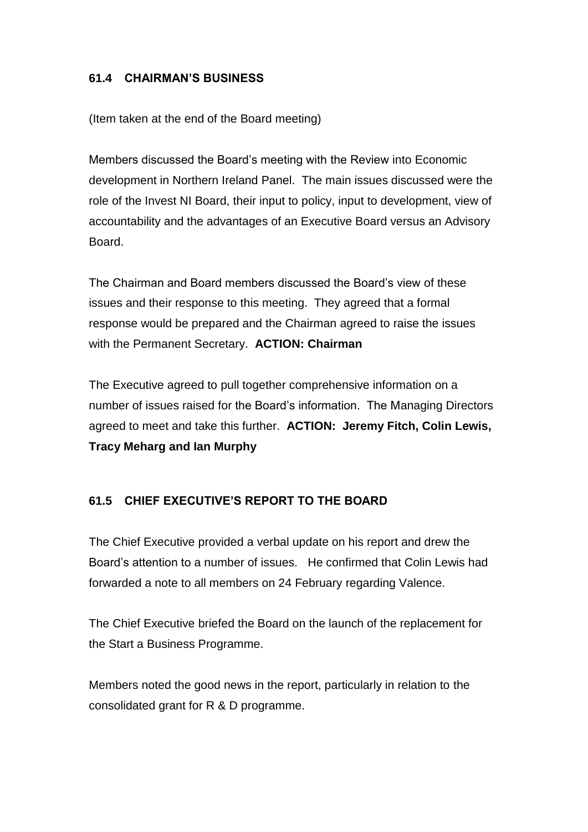## **61.4 CHAIRMAN'S BUSINESS**

(Item taken at the end of the Board meeting)

Members discussed the Board's meeting with the Review into Economic development in Northern Ireland Panel. The main issues discussed were the role of the Invest NI Board, their input to policy, input to development, view of accountability and the advantages of an Executive Board versus an Advisory Board.

The Chairman and Board members discussed the Board's view of these issues and their response to this meeting. They agreed that a formal response would be prepared and the Chairman agreed to raise the issues with the Permanent Secretary. **ACTION: Chairman**

The Executive agreed to pull together comprehensive information on a number of issues raised for the Board's information. The Managing Directors agreed to meet and take this further. **ACTION: Jeremy Fitch, Colin Lewis, Tracy Meharg and Ian Murphy**

# **61.5 CHIEF EXECUTIVE'S REPORT TO THE BOARD**

The Chief Executive provided a verbal update on his report and drew the Board's attention to a number of issues. He confirmed that Colin Lewis had forwarded a note to all members on 24 February regarding Valence.

The Chief Executive briefed the Board on the launch of the replacement for the Start a Business Programme.

Members noted the good news in the report, particularly in relation to the consolidated grant for R & D programme.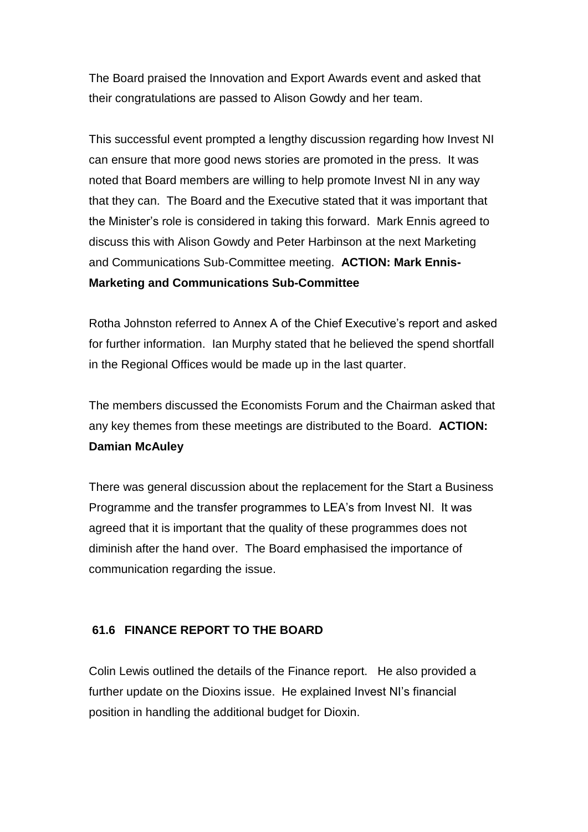The Board praised the Innovation and Export Awards event and asked that their congratulations are passed to Alison Gowdy and her team.

This successful event prompted a lengthy discussion regarding how Invest NI can ensure that more good news stories are promoted in the press. It was noted that Board members are willing to help promote Invest NI in any way that they can. The Board and the Executive stated that it was important that the Minister's role is considered in taking this forward. Mark Ennis agreed to discuss this with Alison Gowdy and Peter Harbinson at the next Marketing and Communications Sub-Committee meeting. **ACTION: Mark Ennis-Marketing and Communications Sub-Committee**

Rotha Johnston referred to Annex A of the Chief Executive's report and asked for further information. Ian Murphy stated that he believed the spend shortfall in the Regional Offices would be made up in the last quarter.

The members discussed the Economists Forum and the Chairman asked that any key themes from these meetings are distributed to the Board. **ACTION: Damian McAuley**

There was general discussion about the replacement for the Start a Business Programme and the transfer programmes to LEA's from Invest NI. It was agreed that it is important that the quality of these programmes does not diminish after the hand over. The Board emphasised the importance of communication regarding the issue.

## **61.6 FINANCE REPORT TO THE BOARD**

Colin Lewis outlined the details of the Finance report. He also provided a further update on the Dioxins issue. He explained Invest NI's financial position in handling the additional budget for Dioxin.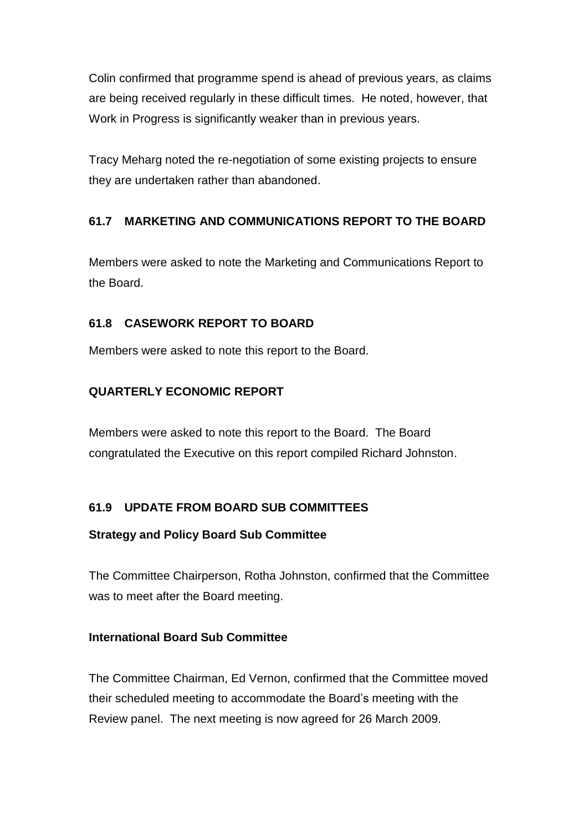Colin confirmed that programme spend is ahead of previous years, as claims are being received regularly in these difficult times. He noted, however, that Work in Progress is significantly weaker than in previous years.

Tracy Meharg noted the re-negotiation of some existing projects to ensure they are undertaken rather than abandoned.

# **61.7 MARKETING AND COMMUNICATIONS REPORT TO THE BOARD**

Members were asked to note the Marketing and Communications Report to the Board.

## **61.8 CASEWORK REPORT TO BOARD**

Members were asked to note this report to the Board.

# **QUARTERLY ECONOMIC REPORT**

Members were asked to note this report to the Board. The Board congratulated the Executive on this report compiled Richard Johnston.

## **61.9 UPDATE FROM BOARD SUB COMMITTEES**

## **Strategy and Policy Board Sub Committee**

The Committee Chairperson, Rotha Johnston, confirmed that the Committee was to meet after the Board meeting.

## **International Board Sub Committee**

The Committee Chairman, Ed Vernon, confirmed that the Committee moved their scheduled meeting to accommodate the Board's meeting with the Review panel. The next meeting is now agreed for 26 March 2009.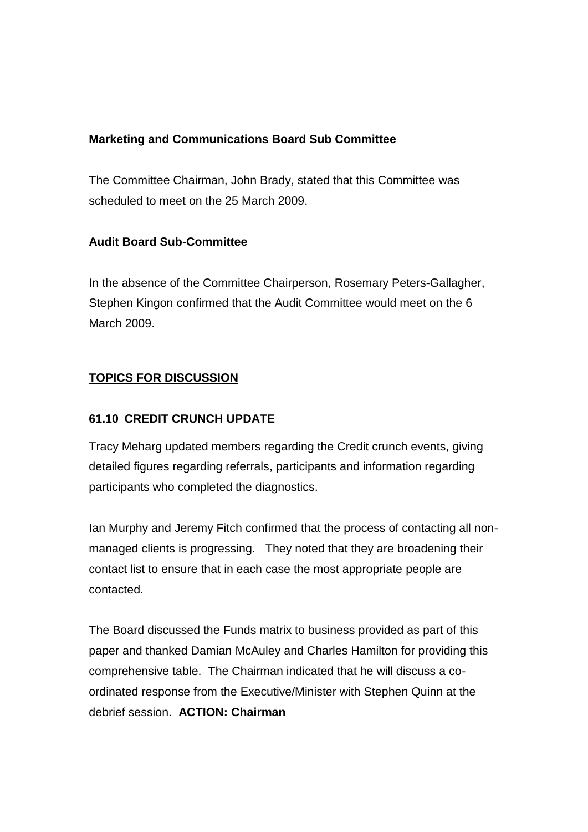#### **Marketing and Communications Board Sub Committee**

The Committee Chairman, John Brady, stated that this Committee was scheduled to meet on the 25 March 2009.

## **Audit Board Sub-Committee**

In the absence of the Committee Chairperson, Rosemary Peters-Gallagher, Stephen Kingon confirmed that the Audit Committee would meet on the 6 March 2009.

# **TOPICS FOR DISCUSSION**

## **61.10 CREDIT CRUNCH UPDATE**

Tracy Meharg updated members regarding the Credit crunch events, giving detailed figures regarding referrals, participants and information regarding participants who completed the diagnostics.

Ian Murphy and Jeremy Fitch confirmed that the process of contacting all nonmanaged clients is progressing. They noted that they are broadening their contact list to ensure that in each case the most appropriate people are contacted.

The Board discussed the Funds matrix to business provided as part of this paper and thanked Damian McAuley and Charles Hamilton for providing this comprehensive table. The Chairman indicated that he will discuss a coordinated response from the Executive/Minister with Stephen Quinn at the debrief session. **ACTION: Chairman**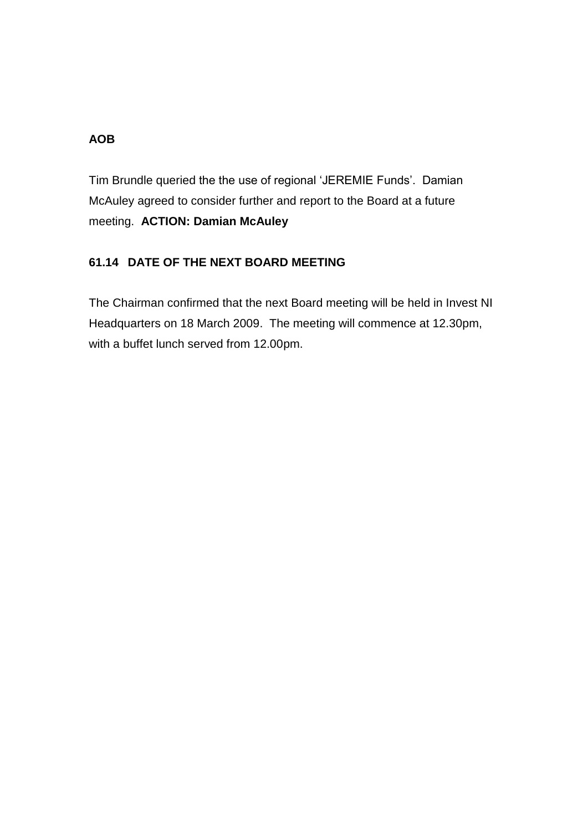# **AOB**

Tim Brundle queried the the use of regional 'JEREMIE Funds'. Damian McAuley agreed to consider further and report to the Board at a future meeting. **ACTION: Damian McAuley**

# **61.14 DATE OF THE NEXT BOARD MEETING**

The Chairman confirmed that the next Board meeting will be held in Invest NI Headquarters on 18 March 2009. The meeting will commence at 12.30pm, with a buffet lunch served from 12.00pm.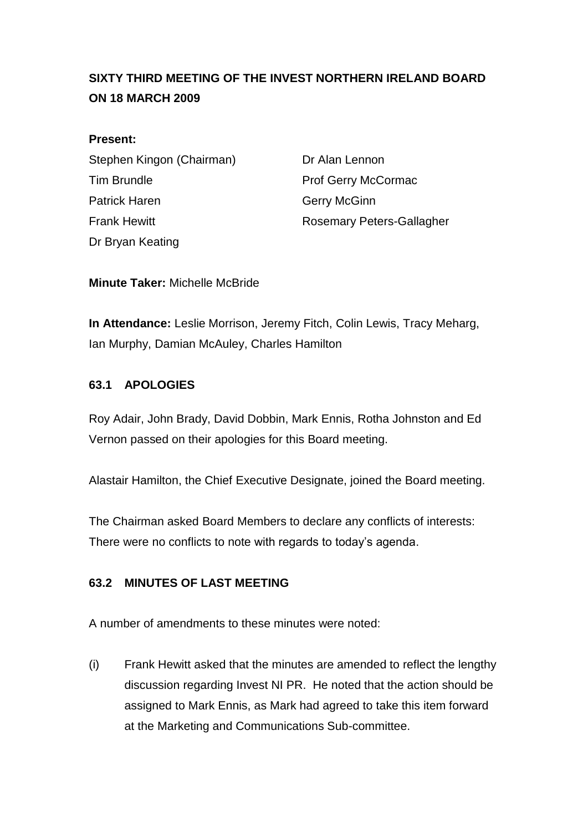# <span id="page-16-0"></span>**SIXTY THIRD MEETING OF THE INVEST NORTHERN IRELAND BOARD ON 18 MARCH 2009**

#### **Present:**

Stephen Kingon (Chairman) Dr Alan Lennon Tim Brundle **Prof Gerry McCormac** Patrick Haren Gerry McGinn Frank Hewitt **Rosemary Peters-Gallagher** Dr Bryan Keating

**Minute Taker:** Michelle McBride

**In Attendance:** Leslie Morrison, Jeremy Fitch, Colin Lewis, Tracy Meharg, Ian Murphy, Damian McAuley, Charles Hamilton

## **63.1 APOLOGIES**

Roy Adair, John Brady, David Dobbin, Mark Ennis, Rotha Johnston and Ed Vernon passed on their apologies for this Board meeting.

Alastair Hamilton, the Chief Executive Designate, joined the Board meeting.

The Chairman asked Board Members to declare any conflicts of interests: There were no conflicts to note with regards to today's agenda.

## **63.2 MINUTES OF LAST MEETING**

A number of amendments to these minutes were noted:

(i) Frank Hewitt asked that the minutes are amended to reflect the lengthy discussion regarding Invest NI PR. He noted that the action should be assigned to Mark Ennis, as Mark had agreed to take this item forward at the Marketing and Communications Sub-committee.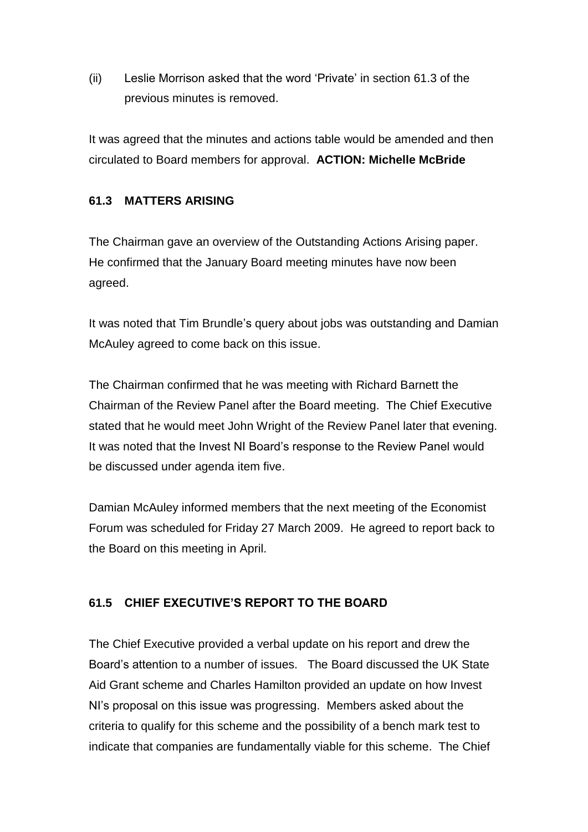(ii) Leslie Morrison asked that the word 'Private' in section 61.3 of the previous minutes is removed.

It was agreed that the minutes and actions table would be amended and then circulated to Board members for approval. **ACTION: Michelle McBride**

## **61.3 MATTERS ARISING**

The Chairman gave an overview of the Outstanding Actions Arising paper. He confirmed that the January Board meeting minutes have now been agreed.

It was noted that Tim Brundle's query about jobs was outstanding and Damian McAuley agreed to come back on this issue.

The Chairman confirmed that he was meeting with Richard Barnett the Chairman of the Review Panel after the Board meeting. The Chief Executive stated that he would meet John Wright of the Review Panel later that evening. It was noted that the Invest NI Board's response to the Review Panel would be discussed under agenda item five.

Damian McAuley informed members that the next meeting of the Economist Forum was scheduled for Friday 27 March 2009. He agreed to report back to the Board on this meeting in April.

# **61.5 CHIEF EXECUTIVE'S REPORT TO THE BOARD**

The Chief Executive provided a verbal update on his report and drew the Board's attention to a number of issues. The Board discussed the UK State Aid Grant scheme and Charles Hamilton provided an update on how Invest NI's proposal on this issue was progressing. Members asked about the criteria to qualify for this scheme and the possibility of a bench mark test to indicate that companies are fundamentally viable for this scheme. The Chief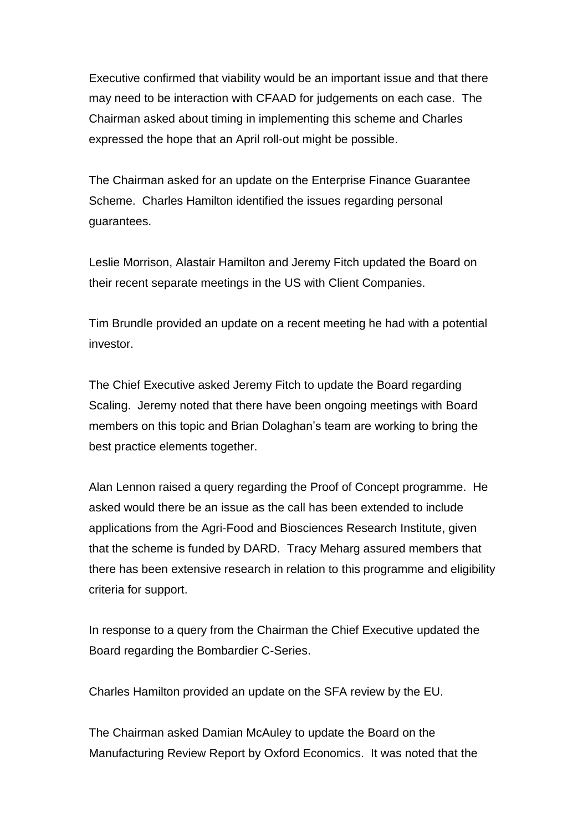Executive confirmed that viability would be an important issue and that there may need to be interaction with CFAAD for judgements on each case. The Chairman asked about timing in implementing this scheme and Charles expressed the hope that an April roll-out might be possible.

The Chairman asked for an update on the Enterprise Finance Guarantee Scheme. Charles Hamilton identified the issues regarding personal guarantees.

Leslie Morrison, Alastair Hamilton and Jeremy Fitch updated the Board on their recent separate meetings in the US with Client Companies.

Tim Brundle provided an update on a recent meeting he had with a potential investor.

The Chief Executive asked Jeremy Fitch to update the Board regarding Scaling. Jeremy noted that there have been ongoing meetings with Board members on this topic and Brian Dolaghan's team are working to bring the best practice elements together.

Alan Lennon raised a query regarding the Proof of Concept programme. He asked would there be an issue as the call has been extended to include applications from the Agri-Food and Biosciences Research Institute, given that the scheme is funded by DARD. Tracy Meharg assured members that there has been extensive research in relation to this programme and eligibility criteria for support.

In response to a query from the Chairman the Chief Executive updated the Board regarding the Bombardier C-Series.

Charles Hamilton provided an update on the SFA review by the EU.

The Chairman asked Damian McAuley to update the Board on the Manufacturing Review Report by Oxford Economics. It was noted that the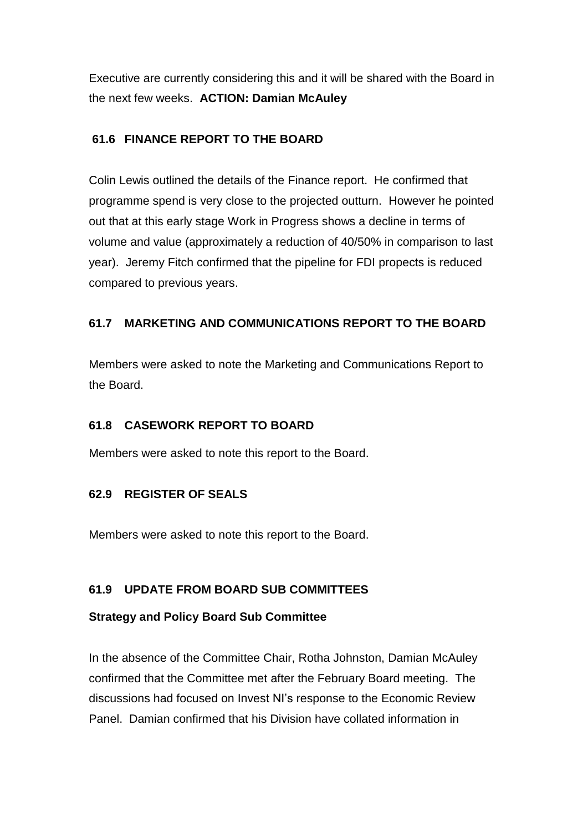Executive are currently considering this and it will be shared with the Board in the next few weeks. **ACTION: Damian McAuley**

## **61.6 FINANCE REPORT TO THE BOARD**

Colin Lewis outlined the details of the Finance report. He confirmed that programme spend is very close to the projected outturn. However he pointed out that at this early stage Work in Progress shows a decline in terms of volume and value (approximately a reduction of 40/50% in comparison to last year). Jeremy Fitch confirmed that the pipeline for FDI propects is reduced compared to previous years.

# **61.7 MARKETING AND COMMUNICATIONS REPORT TO THE BOARD**

Members were asked to note the Marketing and Communications Report to the Board.

## **61.8 CASEWORK REPORT TO BOARD**

Members were asked to note this report to the Board.

## **62.9 REGISTER OF SEALS**

Members were asked to note this report to the Board.

## **61.9 UPDATE FROM BOARD SUB COMMITTEES**

## **Strategy and Policy Board Sub Committee**

In the absence of the Committee Chair, Rotha Johnston, Damian McAuley confirmed that the Committee met after the February Board meeting. The discussions had focused on Invest NI's response to the Economic Review Panel. Damian confirmed that his Division have collated information in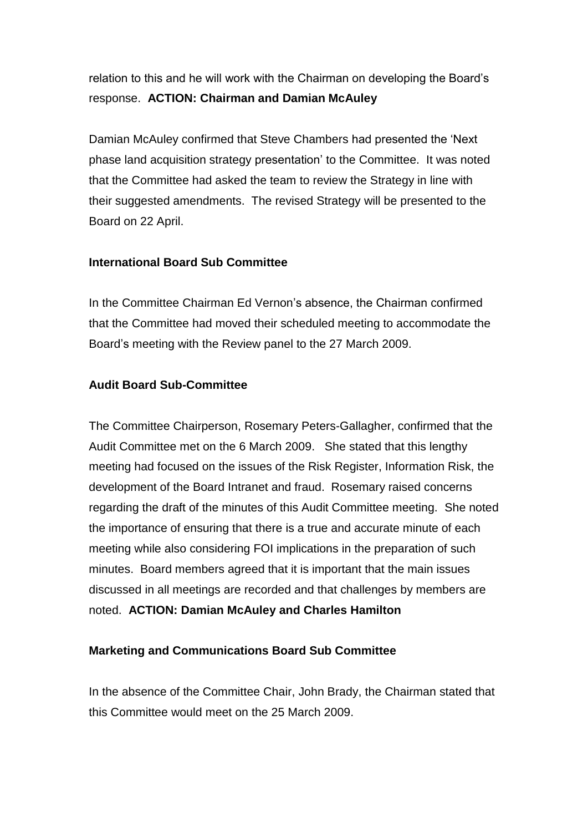relation to this and he will work with the Chairman on developing the Board's response. **ACTION: Chairman and Damian McAuley**

Damian McAuley confirmed that Steve Chambers had presented the 'Next phase land acquisition strategy presentation' to the Committee. It was noted that the Committee had asked the team to review the Strategy in line with their suggested amendments. The revised Strategy will be presented to the Board on 22 April.

#### **International Board Sub Committee**

In the Committee Chairman Ed Vernon's absence, the Chairman confirmed that the Committee had moved their scheduled meeting to accommodate the Board's meeting with the Review panel to the 27 March 2009.

#### **Audit Board Sub-Committee**

The Committee Chairperson, Rosemary Peters-Gallagher, confirmed that the Audit Committee met on the 6 March 2009. She stated that this lengthy meeting had focused on the issues of the Risk Register, Information Risk, the development of the Board Intranet and fraud. Rosemary raised concerns regarding the draft of the minutes of this Audit Committee meeting. She noted the importance of ensuring that there is a true and accurate minute of each meeting while also considering FOI implications in the preparation of such minutes. Board members agreed that it is important that the main issues discussed in all meetings are recorded and that challenges by members are noted. **ACTION: Damian McAuley and Charles Hamilton** 

#### **Marketing and Communications Board Sub Committee**

In the absence of the Committee Chair, John Brady, the Chairman stated that this Committee would meet on the 25 March 2009.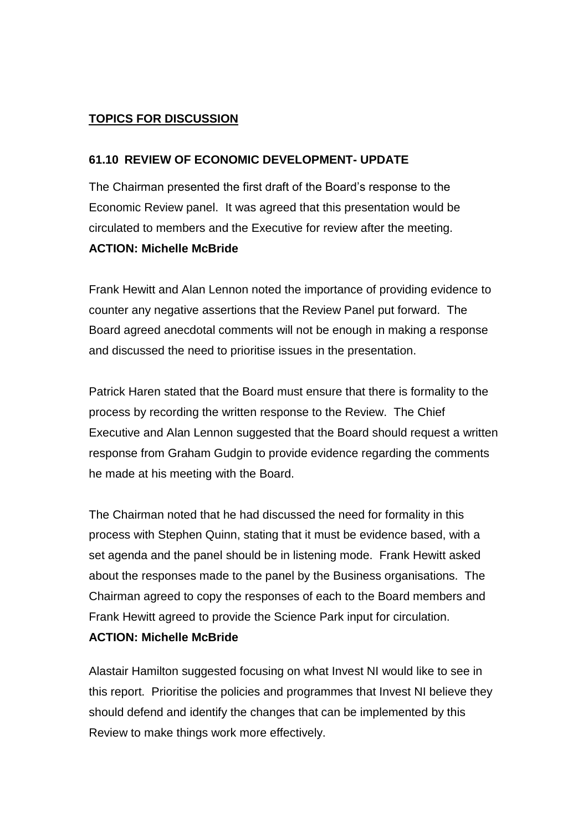## **TOPICS FOR DISCUSSION**

#### **61.10 REVIEW OF ECONOMIC DEVELOPMENT- UPDATE**

The Chairman presented the first draft of the Board's response to the Economic Review panel. It was agreed that this presentation would be circulated to members and the Executive for review after the meeting.

#### **ACTION: Michelle McBride**

Frank Hewitt and Alan Lennon noted the importance of providing evidence to counter any negative assertions that the Review Panel put forward. The Board agreed anecdotal comments will not be enough in making a response and discussed the need to prioritise issues in the presentation.

Patrick Haren stated that the Board must ensure that there is formality to the process by recording the written response to the Review. The Chief Executive and Alan Lennon suggested that the Board should request a written response from Graham Gudgin to provide evidence regarding the comments he made at his meeting with the Board.

The Chairman noted that he had discussed the need for formality in this process with Stephen Quinn, stating that it must be evidence based, with a set agenda and the panel should be in listening mode. Frank Hewitt asked about the responses made to the panel by the Business organisations. The Chairman agreed to copy the responses of each to the Board members and Frank Hewitt agreed to provide the Science Park input for circulation.

## **ACTION: Michelle McBride**

Alastair Hamilton suggested focusing on what Invest NI would like to see in this report. Prioritise the policies and programmes that Invest NI believe they should defend and identify the changes that can be implemented by this Review to make things work more effectively.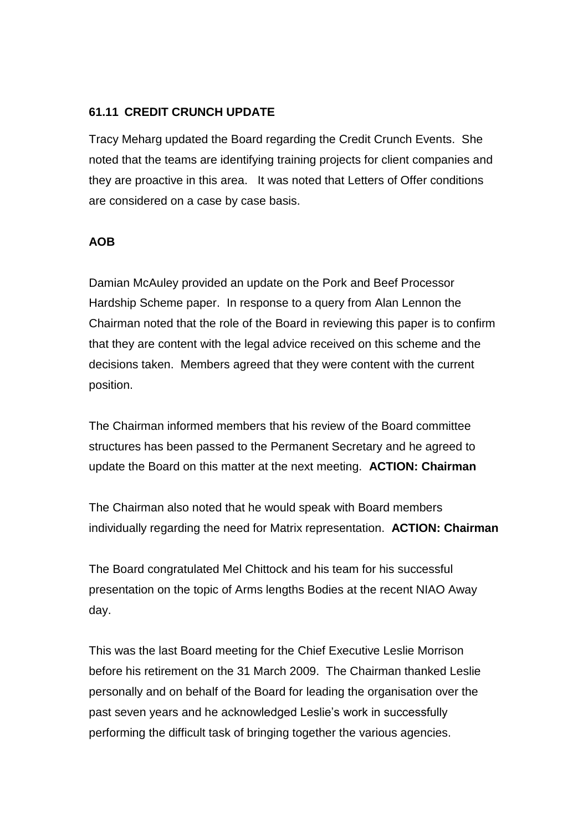#### **61.11 CREDIT CRUNCH UPDATE**

Tracy Meharg updated the Board regarding the Credit Crunch Events. She noted that the teams are identifying training projects for client companies and they are proactive in this area. It was noted that Letters of Offer conditions are considered on a case by case basis.

#### **AOB**

Damian McAuley provided an update on the Pork and Beef Processor Hardship Scheme paper. In response to a query from Alan Lennon the Chairman noted that the role of the Board in reviewing this paper is to confirm that they are content with the legal advice received on this scheme and the decisions taken. Members agreed that they were content with the current position.

The Chairman informed members that his review of the Board committee structures has been passed to the Permanent Secretary and he agreed to update the Board on this matter at the next meeting. **ACTION: Chairman**

The Chairman also noted that he would speak with Board members individually regarding the need for Matrix representation. **ACTION: Chairman**

The Board congratulated Mel Chittock and his team for his successful presentation on the topic of Arms lengths Bodies at the recent NIAO Away day.

This was the last Board meeting for the Chief Executive Leslie Morrison before his retirement on the 31 March 2009. The Chairman thanked Leslie personally and on behalf of the Board for leading the organisation over the past seven years and he acknowledged Leslie's work in successfully performing the difficult task of bringing together the various agencies.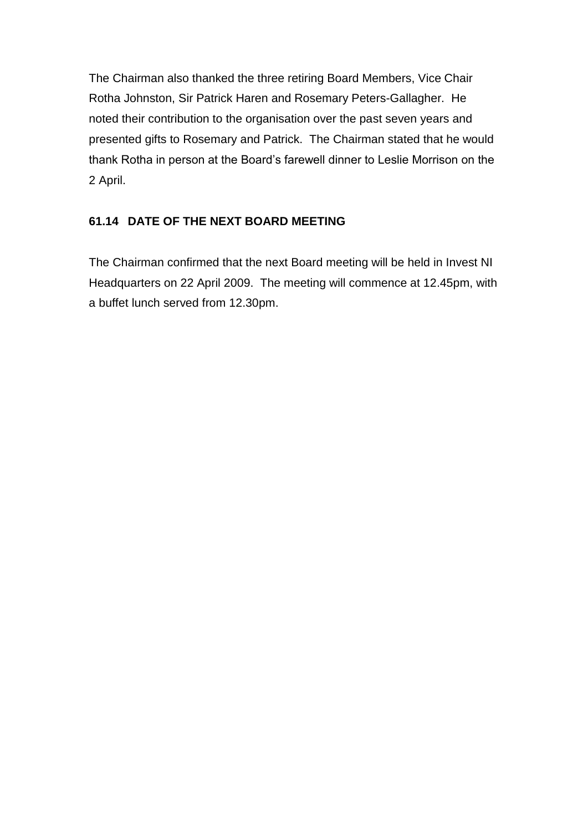The Chairman also thanked the three retiring Board Members, Vice Chair Rotha Johnston, Sir Patrick Haren and Rosemary Peters-Gallagher. He noted their contribution to the organisation over the past seven years and presented gifts to Rosemary and Patrick. The Chairman stated that he would thank Rotha in person at the Board's farewell dinner to Leslie Morrison on the 2 April.

# **61.14 DATE OF THE NEXT BOARD MEETING**

The Chairman confirmed that the next Board meeting will be held in Invest NI Headquarters on 22 April 2009. The meeting will commence at 12.45pm, with a buffet lunch served from 12.30pm.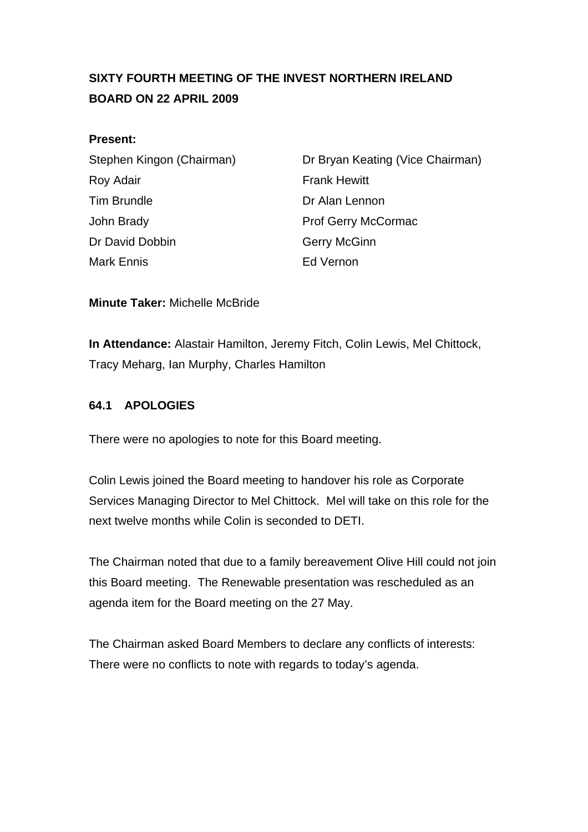# <span id="page-24-0"></span>**SIXTY FOURTH MEETING OF THE INVEST NORTHERN IRELAND BOARD ON 22 APRIL 2009**

#### **Present:**

| Stephen Kingon (Chairman) |
|---------------------------|
| Roy Adair                 |
| <b>Tim Brundle</b>        |
| John Brady                |
| Dr David Dobbin           |
| <b>Mark Ennis</b>         |

Dr Bryan Keating (Vice Chairman) **Frank Hewitt** Dr Alan Lennon Prof Gerry McCormac Gerry McGinn Ed Vernon

**Minute Taker:** Michelle McBride

**In Attendance:** Alastair Hamilton, Jeremy Fitch, Colin Lewis, Mel Chittock, Tracy Meharg, Ian Murphy, Charles Hamilton

## **64.1 APOLOGIES**

There were no apologies to note for this Board meeting.

Colin Lewis joined the Board meeting to handover his role as Corporate Services Managing Director to Mel Chittock. Mel will take on this role for the next twelve months while Colin is seconded to DETI.

The Chairman noted that due to a family bereavement Olive Hill could not join this Board meeting. The Renewable presentation was rescheduled as an agenda item for the Board meeting on the 27 May.

The Chairman asked Board Members to declare any conflicts of interests: There were no conflicts to note with regards to today's agenda.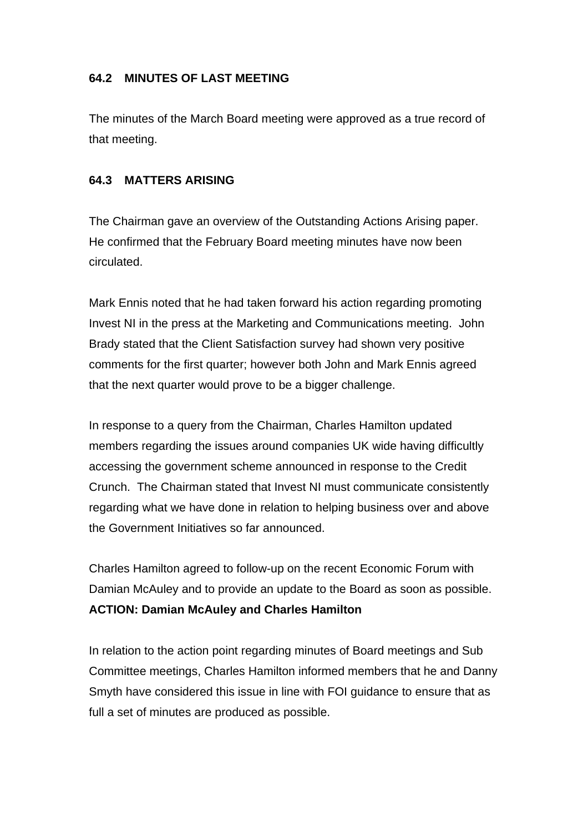## **64.2 MINUTES OF LAST MEETING**

The minutes of the March Board meeting were approved as a true record of that meeting.

#### **64.3 MATTERS ARISING**

The Chairman gave an overview of the Outstanding Actions Arising paper. He confirmed that the February Board meeting minutes have now been circulated.

Mark Ennis noted that he had taken forward his action regarding promoting Invest NI in the press at the Marketing and Communications meeting. John Brady stated that the Client Satisfaction survey had shown very positive comments for the first quarter; however both John and Mark Ennis agreed that the next quarter would prove to be a bigger challenge.

In response to a query from the Chairman, Charles Hamilton updated members regarding the issues around companies UK wide having difficultly accessing the government scheme announced in response to the Credit Crunch. The Chairman stated that Invest NI must communicate consistently regarding what we have done in relation to helping business over and above the Government Initiatives so far announced.

Charles Hamilton agreed to follow-up on the recent Economic Forum with Damian McAuley and to provide an update to the Board as soon as possible. **ACTION: Damian McAuley and Charles Hamilton** 

In relation to the action point regarding minutes of Board meetings and Sub Committee meetings, Charles Hamilton informed members that he and Danny Smyth have considered this issue in line with FOI guidance to ensure that as full a set of minutes are produced as possible.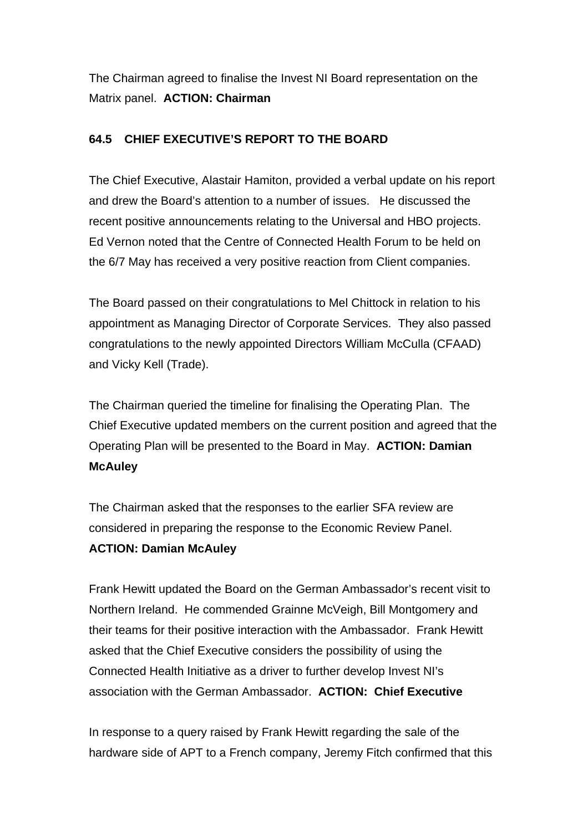The Chairman agreed to finalise the Invest NI Board representation on the Matrix panel. **ACTION: Chairman** 

# **64.5 CHIEF EXECUTIVE'S REPORT TO THE BOARD**

The Chief Executive, Alastair Hamiton, provided a verbal update on his report and drew the Board's attention to a number of issues. He discussed the recent positive announcements relating to the Universal and HBO projects. Ed Vernon noted that the Centre of Connected Health Forum to be held on the 6/7 May has received a very positive reaction from Client companies.

The Board passed on their congratulations to Mel Chittock in relation to his appointment as Managing Director of Corporate Services. They also passed congratulations to the newly appointed Directors William McCulla (CFAAD) and Vicky Kell (Trade).

The Chairman queried the timeline for finalising the Operating Plan. The Chief Executive updated members on the current position and agreed that the Operating Plan will be presented to the Board in May. **ACTION: Damian McAuley**

The Chairman asked that the responses to the earlier SFA review are considered in preparing the response to the Economic Review Panel. **ACTION: Damian McAuley**

Frank Hewitt updated the Board on the German Ambassador's recent visit to Northern Ireland. He commended Grainne McVeigh, Bill Montgomery and their teams for their positive interaction with the Ambassador. Frank Hewitt asked that the Chief Executive considers the possibility of using the Connected Health Initiative as a driver to further develop Invest NI's association with the German Ambassador. **ACTION: Chief Executive** 

In response to a query raised by Frank Hewitt regarding the sale of the hardware side of APT to a French company, Jeremy Fitch confirmed that this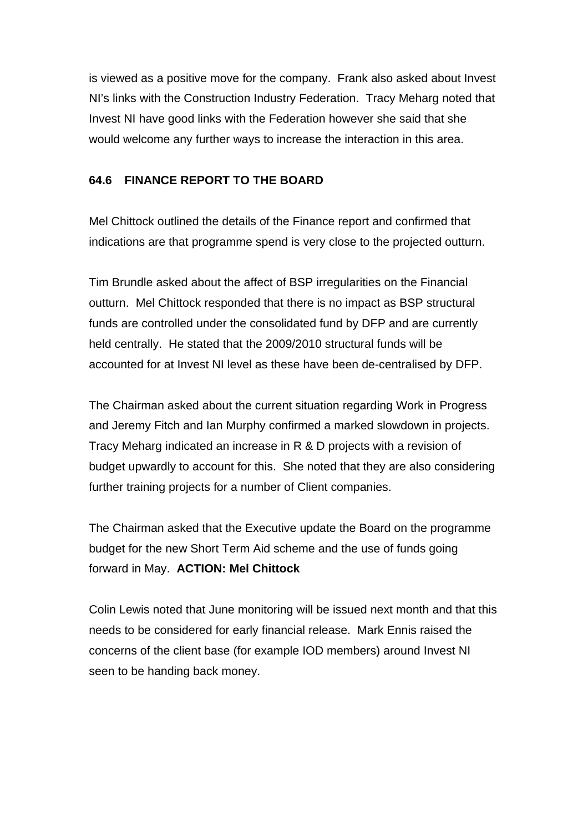is viewed as a positive move for the company. Frank also asked about Invest NI's links with the Construction Industry Federation. Tracy Meharg noted that Invest NI have good links with the Federation however she said that she would welcome any further ways to increase the interaction in this area.

#### **64.6 FINANCE REPORT TO THE BOARD**

Mel Chittock outlined the details of the Finance report and confirmed that indications are that programme spend is very close to the projected outturn.

Tim Brundle asked about the affect of BSP irregularities on the Financial outturn. Mel Chittock responded that there is no impact as BSP structural funds are controlled under the consolidated fund by DFP and are currently held centrally. He stated that the 2009/2010 structural funds will be accounted for at Invest NI level as these have been de-centralised by DFP.

The Chairman asked about the current situation regarding Work in Progress and Jeremy Fitch and Ian Murphy confirmed a marked slowdown in projects. Tracy Meharg indicated an increase in R & D projects with a revision of budget upwardly to account for this. She noted that they are also considering further training projects for a number of Client companies.

The Chairman asked that the Executive update the Board on the programme budget for the new Short Term Aid scheme and the use of funds going forward in May. **ACTION: Mel Chittock** 

Colin Lewis noted that June monitoring will be issued next month and that this needs to be considered for early financial release. Mark Ennis raised the concerns of the client base (for example IOD members) around Invest NI seen to be handing back money.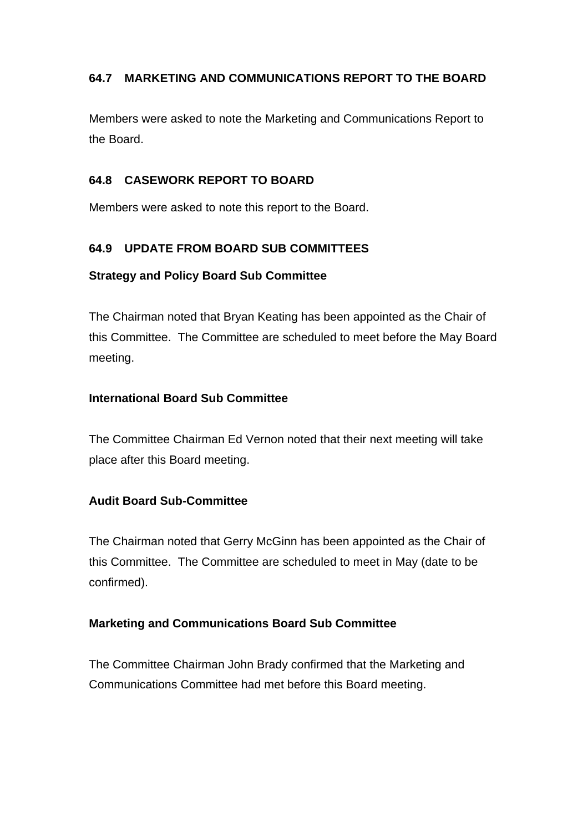# **64.7 MARKETING AND COMMUNICATIONS REPORT TO THE BOARD**

Members were asked to note the Marketing and Communications Report to the Board.

#### **64.8 CASEWORK REPORT TO BOARD**

Members were asked to note this report to the Board.

#### **64.9 UPDATE FROM BOARD SUB COMMITTEES**

#### **Strategy and Policy Board Sub Committee**

The Chairman noted that Bryan Keating has been appointed as the Chair of this Committee. The Committee are scheduled to meet before the May Board meeting.

#### **International Board Sub Committee**

The Committee Chairman Ed Vernon noted that their next meeting will take place after this Board meeting.

## **Audit Board Sub-Committee**

The Chairman noted that Gerry McGinn has been appointed as the Chair of this Committee. The Committee are scheduled to meet in May (date to be confirmed).

#### **Marketing and Communications Board Sub Committee**

The Committee Chairman John Brady confirmed that the Marketing and Communications Committee had met before this Board meeting.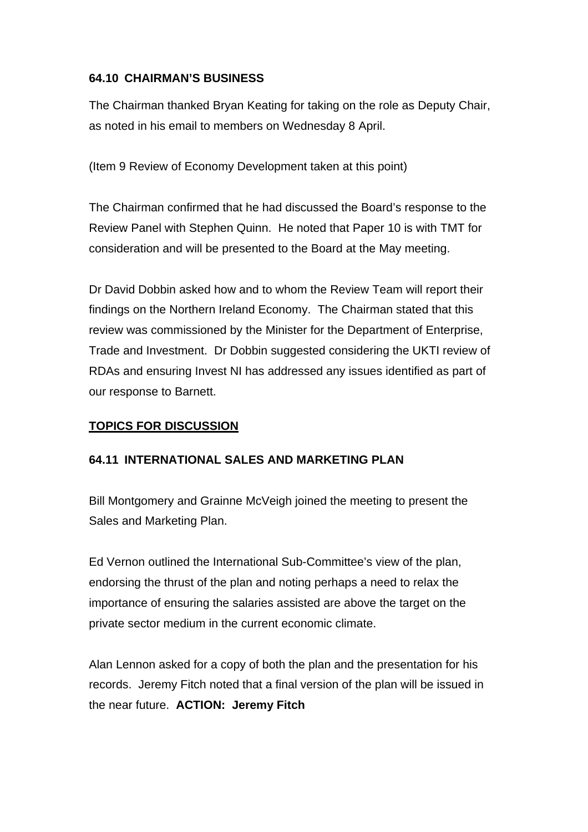## **64.10 CHAIRMAN'S BUSINESS**

The Chairman thanked Bryan Keating for taking on the role as Deputy Chair, as noted in his email to members on Wednesday 8 April.

(Item 9 Review of Economy Development taken at this point)

The Chairman confirmed that he had discussed the Board's response to the Review Panel with Stephen Quinn. He noted that Paper 10 is with TMT for consideration and will be presented to the Board at the May meeting.

Dr David Dobbin asked how and to whom the Review Team will report their findings on the Northern Ireland Economy. The Chairman stated that this review was commissioned by the Minister for the Department of Enterprise, Trade and Investment. Dr Dobbin suggested considering the UKTI review of RDAs and ensuring Invest NI has addressed any issues identified as part of our response to Barnett.

## **TOPICS FOR DISCUSSION**

#### **64.11 INTERNATIONAL SALES AND MARKETING PLAN**

Bill Montgomery and Grainne McVeigh joined the meeting to present the Sales and Marketing Plan.

Ed Vernon outlined the International Sub-Committee's view of the plan, endorsing the thrust of the plan and noting perhaps a need to relax the importance of ensuring the salaries assisted are above the target on the private sector medium in the current economic climate.

Alan Lennon asked for a copy of both the plan and the presentation for his records. Jeremy Fitch noted that a final version of the plan will be issued in the near future. **ACTION: Jeremy Fitch**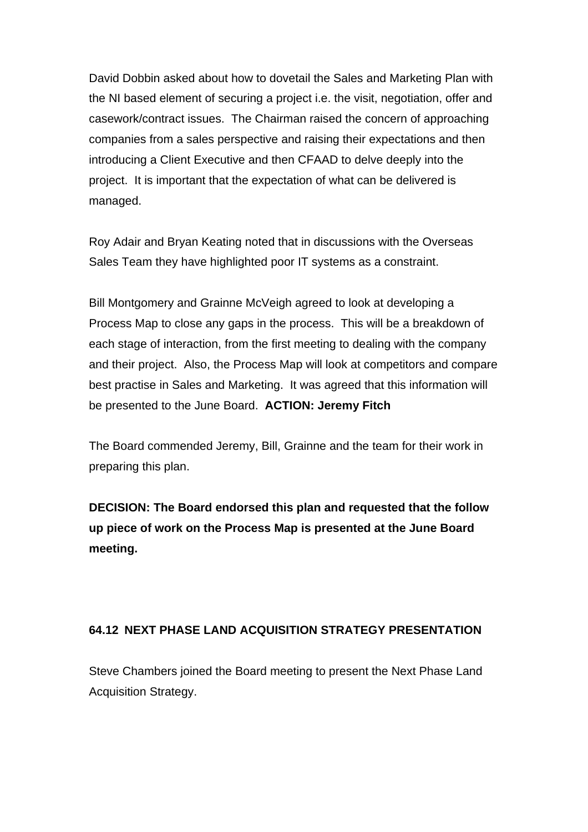David Dobbin asked about how to dovetail the Sales and Marketing Plan with the NI based element of securing a project i.e. the visit, negotiation, offer and casework/contract issues. The Chairman raised the concern of approaching companies from a sales perspective and raising their expectations and then introducing a Client Executive and then CFAAD to delve deeply into the project. It is important that the expectation of what can be delivered is managed.

Roy Adair and Bryan Keating noted that in discussions with the Overseas Sales Team they have highlighted poor IT systems as a constraint.

Bill Montgomery and Grainne McVeigh agreed to look at developing a Process Map to close any gaps in the process. This will be a breakdown of each stage of interaction, from the first meeting to dealing with the company and their project. Also, the Process Map will look at competitors and compare best practise in Sales and Marketing. It was agreed that this information will be presented to the June Board. **ACTION: Jeremy Fitch** 

The Board commended Jeremy, Bill, Grainne and the team for their work in preparing this plan.

**DECISION: The Board endorsed this plan and requested that the follow up piece of work on the Process Map is presented at the June Board meeting.** 

## **64.12 NEXT PHASE LAND ACQUISITION STRATEGY PRESENTATION**

Steve Chambers joined the Board meeting to present the Next Phase Land Acquisition Strategy.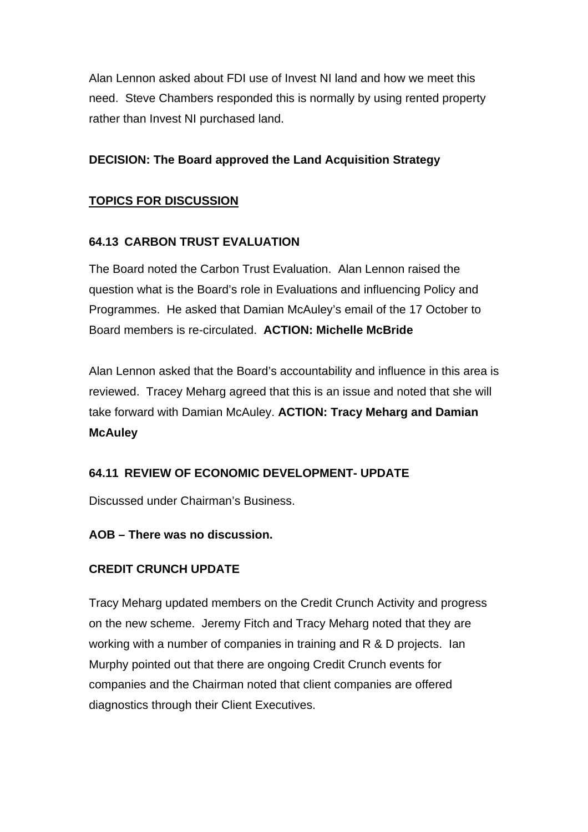Alan Lennon asked about FDI use of Invest NI land and how we meet this need. Steve Chambers responded this is normally by using rented property rather than Invest NI purchased land.

## **DECISION: The Board approved the Land Acquisition Strategy**

## **TOPICS FOR DISCUSSION**

## **64.13 CARBON TRUST EVALUATION**

The Board noted the Carbon Trust Evaluation. Alan Lennon raised the question what is the Board's role in Evaluations and influencing Policy and Programmes. He asked that Damian McAuley's email of the 17 October to Board members is re-circulated. **ACTION: Michelle McBride**

Alan Lennon asked that the Board's accountability and influence in this area is reviewed. Tracey Meharg agreed that this is an issue and noted that she will take forward with Damian McAuley. **ACTION: Tracy Meharg and Damian McAuley** 

## **64.11 REVIEW OF ECONOMIC DEVELOPMENT- UPDATE**

Discussed under Chairman's Business.

## **AOB – There was no discussion.**

# **CREDIT CRUNCH UPDATE**

Tracy Meharg updated members on the Credit Crunch Activity and progress on the new scheme. Jeremy Fitch and Tracy Meharg noted that they are working with a number of companies in training and R & D projects. Ian Murphy pointed out that there are ongoing Credit Crunch events for companies and the Chairman noted that client companies are offered diagnostics through their Client Executives.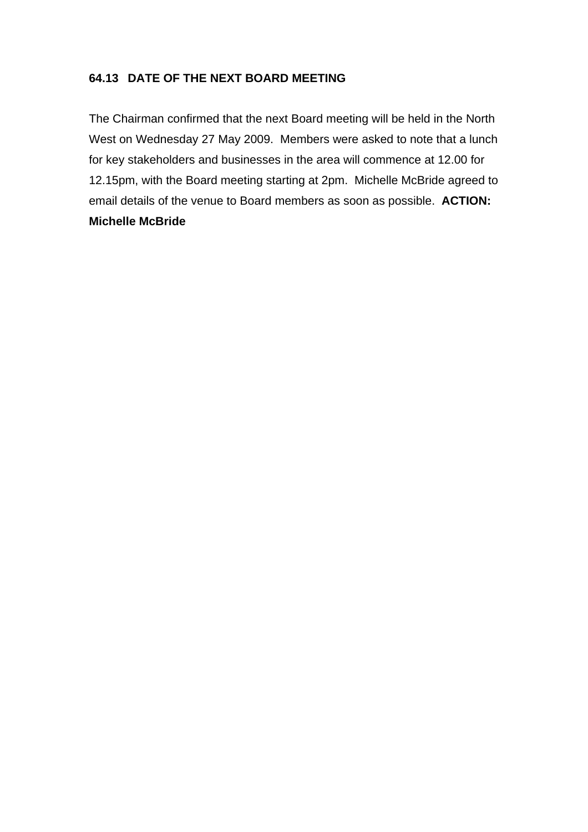## **64.13 DATE OF THE NEXT BOARD MEETING**

The Chairman confirmed that the next Board meeting will be held in the North West on Wednesday 27 May 2009. Members were asked to note that a lunch for key stakeholders and businesses in the area will commence at 12.00 for 12.15pm, with the Board meeting starting at 2pm. Michelle McBride agreed to email details of the venue to Board members as soon as possible. **ACTION: Michelle McBride**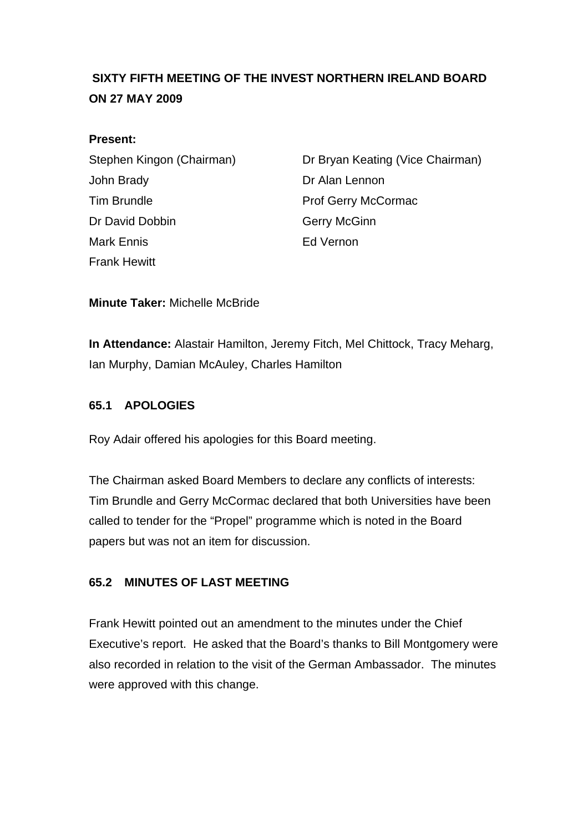# <span id="page-33-0"></span> **SIXTY FIFTH MEETING OF THE INVEST NORTHERN IRELAND BOARD ON 27 MAY 2009**

#### **Present:**

John Brady **Dr Alan Lennon** Tim Brundle **Prof Gerry McCormac** Dr David Dobbin Gerry McGinn Mark Ennis Ed Vernon Frank Hewitt

Stephen Kingon (Chairman) Dr Bryan Keating (Vice Chairman)

**Minute Taker:** Michelle McBride

**In Attendance:** Alastair Hamilton, Jeremy Fitch, Mel Chittock, Tracy Meharg, Ian Murphy, Damian McAuley, Charles Hamilton

## **65.1 APOLOGIES**

Roy Adair offered his apologies for this Board meeting.

The Chairman asked Board Members to declare any conflicts of interests: Tim Brundle and Gerry McCormac declared that both Universities have been called to tender for the "Propel" programme which is noted in the Board papers but was not an item for discussion.

## **65.2 MINUTES OF LAST MEETING**

Frank Hewitt pointed out an amendment to the minutes under the Chief Executive's report. He asked that the Board's thanks to Bill Montgomery were also recorded in relation to the visit of the German Ambassador. The minutes were approved with this change.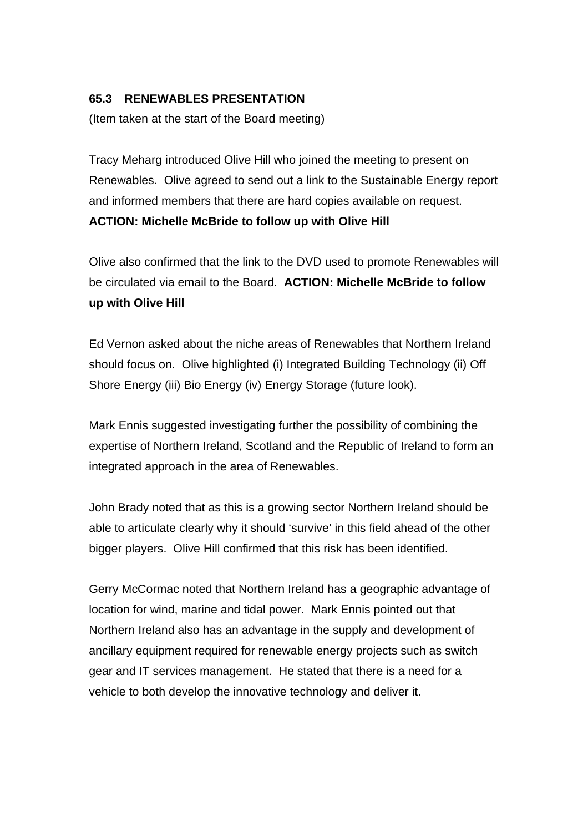#### **65.3 RENEWABLES PRESENTATION**

(Item taken at the start of the Board meeting)

Tracy Meharg introduced Olive Hill who joined the meeting to present on Renewables. Olive agreed to send out a link to the Sustainable Energy report and informed members that there are hard copies available on request. **ACTION: Michelle McBride to follow up with Olive Hill**

Olive also confirmed that the link to the DVD used to promote Renewables will be circulated via email to the Board. **ACTION: Michelle McBride to follow up with Olive Hill**

Ed Vernon asked about the niche areas of Renewables that Northern Ireland should focus on. Olive highlighted (i) Integrated Building Technology (ii) Off Shore Energy (iii) Bio Energy (iv) Energy Storage (future look).

Mark Ennis suggested investigating further the possibility of combining the expertise of Northern Ireland, Scotland and the Republic of Ireland to form an integrated approach in the area of Renewables.

John Brady noted that as this is a growing sector Northern Ireland should be able to articulate clearly why it should 'survive' in this field ahead of the other bigger players. Olive Hill confirmed that this risk has been identified.

Gerry McCormac noted that Northern Ireland has a geographic advantage of location for wind, marine and tidal power. Mark Ennis pointed out that Northern Ireland also has an advantage in the supply and development of ancillary equipment required for renewable energy projects such as switch gear and IT services management. He stated that there is a need for a vehicle to both develop the innovative technology and deliver it.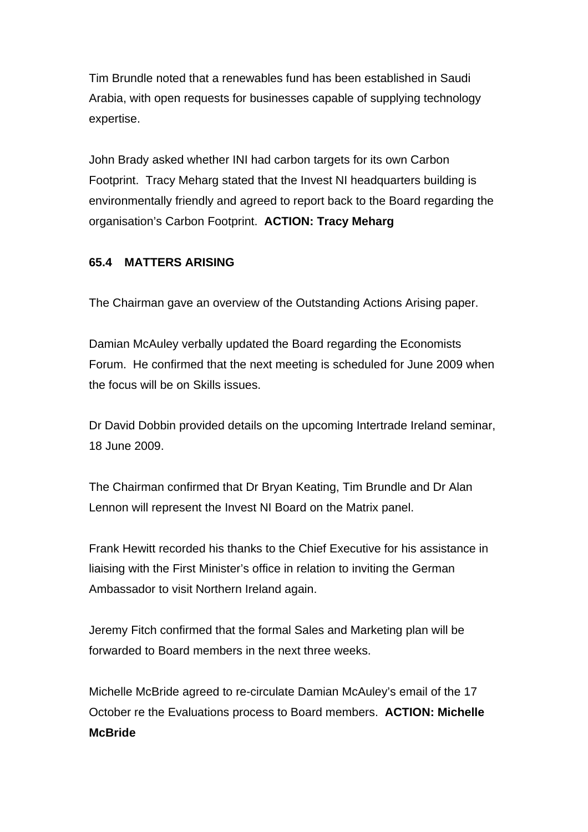Tim Brundle noted that a renewables fund has been established in Saudi Arabia, with open requests for businesses capable of supplying technology expertise.

John Brady asked whether INI had carbon targets for its own Carbon Footprint. Tracy Meharg stated that the Invest NI headquarters building is environmentally friendly and agreed to report back to the Board regarding the organisation's Carbon Footprint. **ACTION: Tracy Meharg**

#### **65.4 MATTERS ARISING**

The Chairman gave an overview of the Outstanding Actions Arising paper.

Damian McAuley verbally updated the Board regarding the Economists Forum. He confirmed that the next meeting is scheduled for June 2009 when the focus will be on Skills issues.

Dr David Dobbin provided details on the upcoming Intertrade Ireland seminar, 18 June 2009.

The Chairman confirmed that Dr Bryan Keating, Tim Brundle and Dr Alan Lennon will represent the Invest NI Board on the Matrix panel.

Frank Hewitt recorded his thanks to the Chief Executive for his assistance in liaising with the First Minister's office in relation to inviting the German Ambassador to visit Northern Ireland again.

Jeremy Fitch confirmed that the formal Sales and Marketing plan will be forwarded to Board members in the next three weeks.

Michelle McBride agreed to re-circulate Damian McAuley's email of the 17 October re the Evaluations process to Board members. **ACTION: Michelle McBride**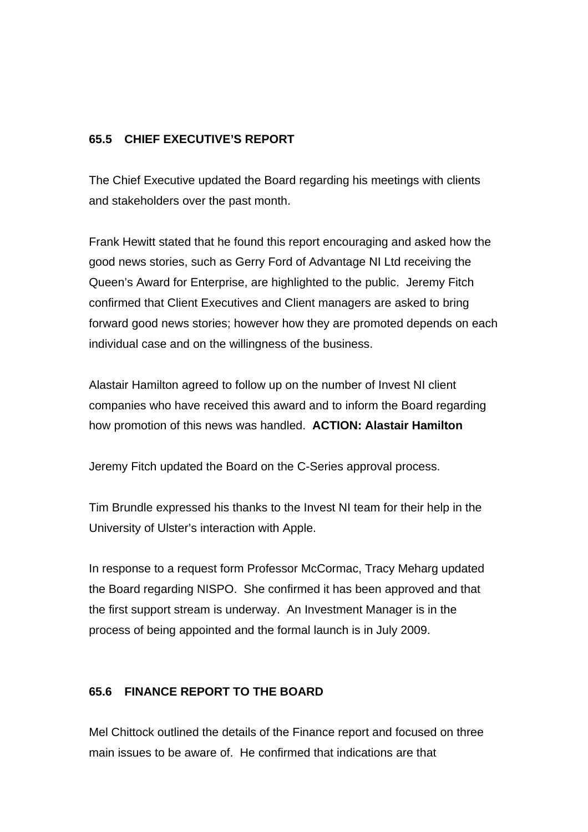# **65.5 CHIEF EXECUTIVE'S REPORT**

The Chief Executive updated the Board regarding his meetings with clients and stakeholders over the past month.

Frank Hewitt stated that he found this report encouraging and asked how the good news stories, such as Gerry Ford of Advantage NI Ltd receiving the Queen's Award for Enterprise, are highlighted to the public. Jeremy Fitch confirmed that Client Executives and Client managers are asked to bring forward good news stories; however how they are promoted depends on each individual case and on the willingness of the business.

Alastair Hamilton agreed to follow up on the number of Invest NI client companies who have received this award and to inform the Board regarding how promotion of this news was handled. **ACTION: Alastair Hamilton**

Jeremy Fitch updated the Board on the C-Series approval process.

Tim Brundle expressed his thanks to the Invest NI team for their help in the University of Ulster's interaction with Apple.

In response to a request form Professor McCormac, Tracy Meharg updated the Board regarding NISPO. She confirmed it has been approved and that the first support stream is underway. An Investment Manager is in the process of being appointed and the formal launch is in July 2009.

#### **65.6 FINANCE REPORT TO THE BOARD**

Mel Chittock outlined the details of the Finance report and focused on three main issues to be aware of. He confirmed that indications are that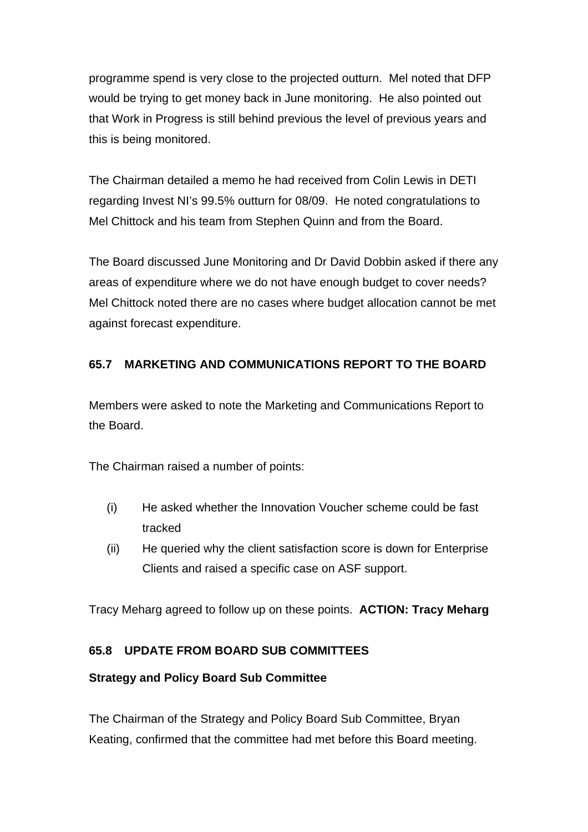programme spend is very close to the projected outturn. Mel noted that DFP would be trying to get money back in June monitoring. He also pointed out that Work in Progress is still behind previous the level of previous years and this is being monitored.

The Chairman detailed a memo he had received from Colin Lewis in DETI regarding Invest NI's 99.5% outturn for 08/09. He noted congratulations to Mel Chittock and his team from Stephen Quinn and from the Board.

The Board discussed June Monitoring and Dr David Dobbin asked if there any areas of expenditure where we do not have enough budget to cover needs? Mel Chittock noted there are no cases where budget allocation cannot be met against forecast expenditure.

# **65.7 MARKETING AND COMMUNICATIONS REPORT TO THE BOARD**

Members were asked to note the Marketing and Communications Report to the Board.

The Chairman raised a number of points:

- (i) He asked whether the Innovation Voucher scheme could be fast tracked
- (ii) He queried why the client satisfaction score is down for Enterprise Clients and raised a specific case on ASF support.

Tracy Meharg agreed to follow up on these points. **ACTION: Tracy Meharg**

# **65.8 UPDATE FROM BOARD SUB COMMITTEES**

# **Strategy and Policy Board Sub Committee**

The Chairman of the Strategy and Policy Board Sub Committee, Bryan Keating, confirmed that the committee had met before this Board meeting.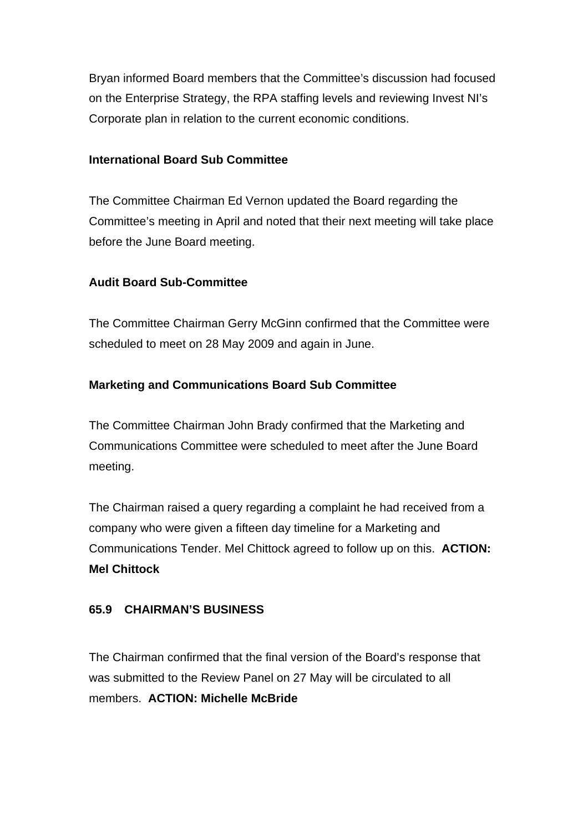Bryan informed Board members that the Committee's discussion had focused on the Enterprise Strategy, the RPA staffing levels and reviewing Invest NI's Corporate plan in relation to the current economic conditions.

#### **International Board Sub Committee**

The Committee Chairman Ed Vernon updated the Board regarding the Committee's meeting in April and noted that their next meeting will take place before the June Board meeting.

# **Audit Board Sub-Committee**

The Committee Chairman Gerry McGinn confirmed that the Committee were scheduled to meet on 28 May 2009 and again in June.

## **Marketing and Communications Board Sub Committee**

The Committee Chairman John Brady confirmed that the Marketing and Communications Committee were scheduled to meet after the June Board meeting.

The Chairman raised a query regarding a complaint he had received from a company who were given a fifteen day timeline for a Marketing and Communications Tender. Mel Chittock agreed to follow up on this. **ACTION: Mel Chittock**

#### **65.9 CHAIRMAN'S BUSINESS**

The Chairman confirmed that the final version of the Board's response that was submitted to the Review Panel on 27 May will be circulated to all members. **ACTION: Michelle McBride**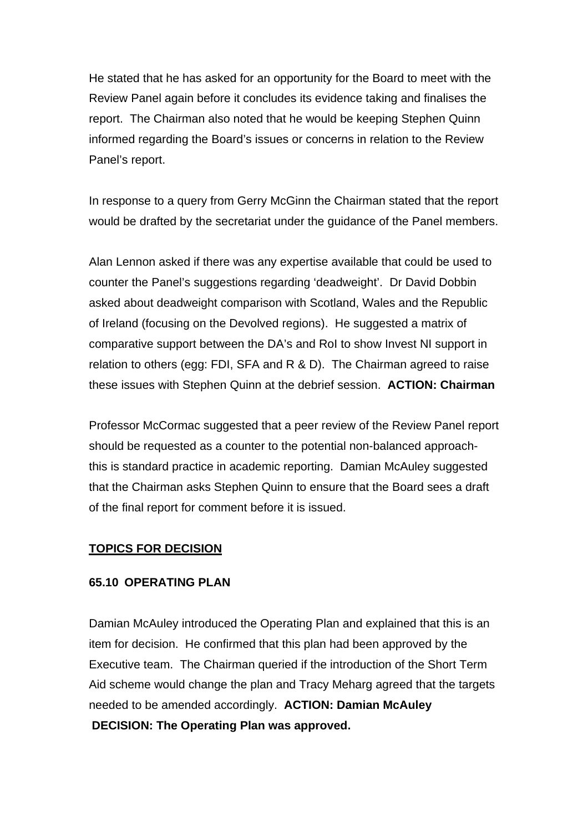He stated that he has asked for an opportunity for the Board to meet with the Review Panel again before it concludes its evidence taking and finalises the report. The Chairman also noted that he would be keeping Stephen Quinn informed regarding the Board's issues or concerns in relation to the Review Panel's report.

In response to a query from Gerry McGinn the Chairman stated that the report would be drafted by the secretariat under the guidance of the Panel members.

Alan Lennon asked if there was any expertise available that could be used to counter the Panel's suggestions regarding 'deadweight'. Dr David Dobbin asked about deadweight comparison with Scotland, Wales and the Republic of Ireland (focusing on the Devolved regions). He suggested a matrix of comparative support between the DA's and RoI to show Invest NI support in relation to others (egg: FDI, SFA and R & D). The Chairman agreed to raise these issues with Stephen Quinn at the debrief session. **ACTION: Chairman**

Professor McCormac suggested that a peer review of the Review Panel report should be requested as a counter to the potential non-balanced approachthis is standard practice in academic reporting. Damian McAuley suggested that the Chairman asks Stephen Quinn to ensure that the Board sees a draft of the final report for comment before it is issued.

#### **TOPICS FOR DECISION**

#### **65.10 OPERATING PLAN**

Damian McAuley introduced the Operating Plan and explained that this is an item for decision. He confirmed that this plan had been approved by the Executive team. The Chairman queried if the introduction of the Short Term Aid scheme would change the plan and Tracy Meharg agreed that the targets needed to be amended accordingly. **ACTION: Damian McAuley DECISION: The Operating Plan was approved.**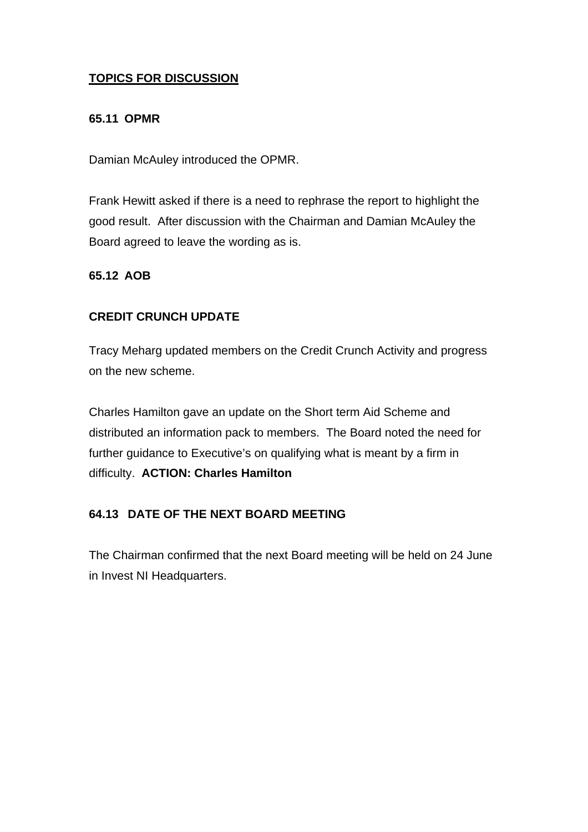# **TOPICS FOR DISCUSSION**

## **65.11 OPMR**

Damian McAuley introduced the OPMR.

Frank Hewitt asked if there is a need to rephrase the report to highlight the good result. After discussion with the Chairman and Damian McAuley the Board agreed to leave the wording as is.

## **65.12 AOB**

# **CREDIT CRUNCH UPDATE**

Tracy Meharg updated members on the Credit Crunch Activity and progress on the new scheme.

Charles Hamilton gave an update on the Short term Aid Scheme and distributed an information pack to members. The Board noted the need for further guidance to Executive's on qualifying what is meant by a firm in difficulty. **ACTION: Charles Hamilton** 

# **64.13 DATE OF THE NEXT BOARD MEETING**

The Chairman confirmed that the next Board meeting will be held on 24 June in Invest NI Headquarters.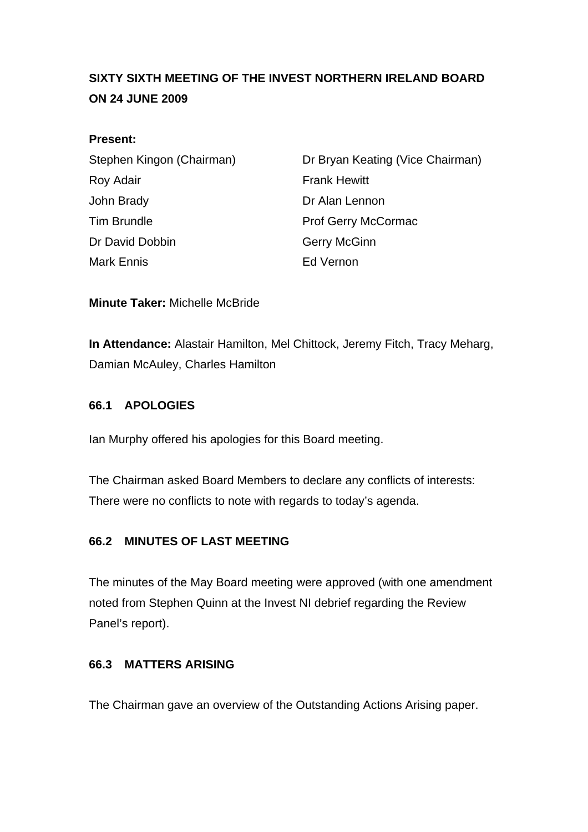# **SIXTY SIXTH MEETING OF THE INVEST NORTHERN IRELAND BOARD ON 24 JUNE 2009**

## **Present:**

| Stephen Kingon (Chairman) | Dr Bryan Keating (Vice Chairman) |
|---------------------------|----------------------------------|
| Roy Adair                 | <b>Frank Hewitt</b>              |
| John Brady                | Dr Alan Lennon                   |
| Tim Brundle               | Prof Gerry McCormac              |
| Dr David Dobbin           | <b>Gerry McGinn</b>              |
| Mark Ennis                | Ed Vernon                        |

**Minute Taker:** Michelle McBride

**In Attendance:** Alastair Hamilton, Mel Chittock, Jeremy Fitch, Tracy Meharg, Damian McAuley, Charles Hamilton

## **66.1 APOLOGIES**

Ian Murphy offered his apologies for this Board meeting.

The Chairman asked Board Members to declare any conflicts of interests: There were no conflicts to note with regards to today's agenda.

# **66.2 MINUTES OF LAST MEETING**

The minutes of the May Board meeting were approved (with one amendment noted from Stephen Quinn at the Invest NI debrief regarding the Review Panel's report).

#### **66.3 MATTERS ARISING**

The Chairman gave an overview of the Outstanding Actions Arising paper.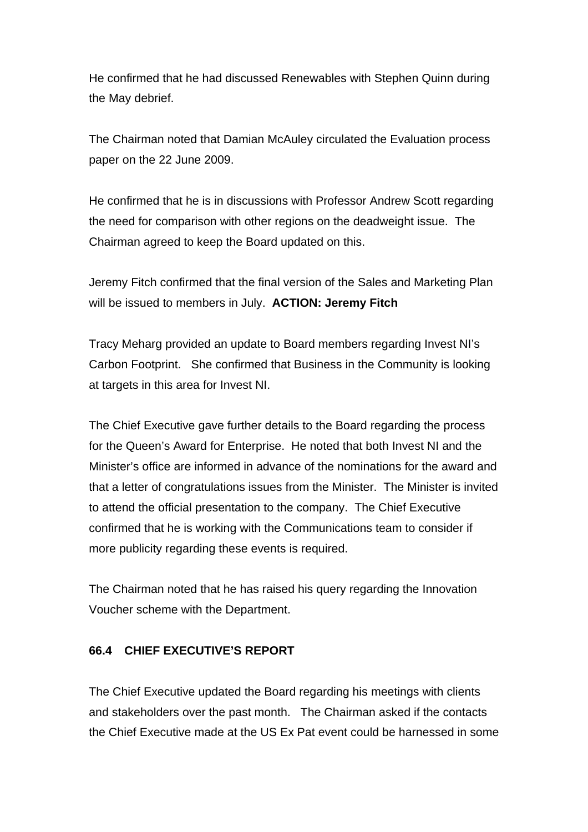He confirmed that he had discussed Renewables with Stephen Quinn during the May debrief.

The Chairman noted that Damian McAuley circulated the Evaluation process paper on the 22 June 2009.

He confirmed that he is in discussions with Professor Andrew Scott regarding the need for comparison with other regions on the deadweight issue. The Chairman agreed to keep the Board updated on this.

Jeremy Fitch confirmed that the final version of the Sales and Marketing Plan will be issued to members in July. **ACTION: Jeremy Fitch**

Tracy Meharg provided an update to Board members regarding Invest NI's Carbon Footprint. She confirmed that Business in the Community is looking at targets in this area for Invest NI.

The Chief Executive gave further details to the Board regarding the process for the Queen's Award for Enterprise. He noted that both Invest NI and the Minister's office are informed in advance of the nominations for the award and that a letter of congratulations issues from the Minister. The Minister is invited to attend the official presentation to the company. The Chief Executive confirmed that he is working with the Communications team to consider if more publicity regarding these events is required.

The Chairman noted that he has raised his query regarding the Innovation Voucher scheme with the Department.

# **66.4 CHIEF EXECUTIVE'S REPORT**

The Chief Executive updated the Board regarding his meetings with clients and stakeholders over the past month. The Chairman asked if the contacts the Chief Executive made at the US Ex Pat event could be harnessed in some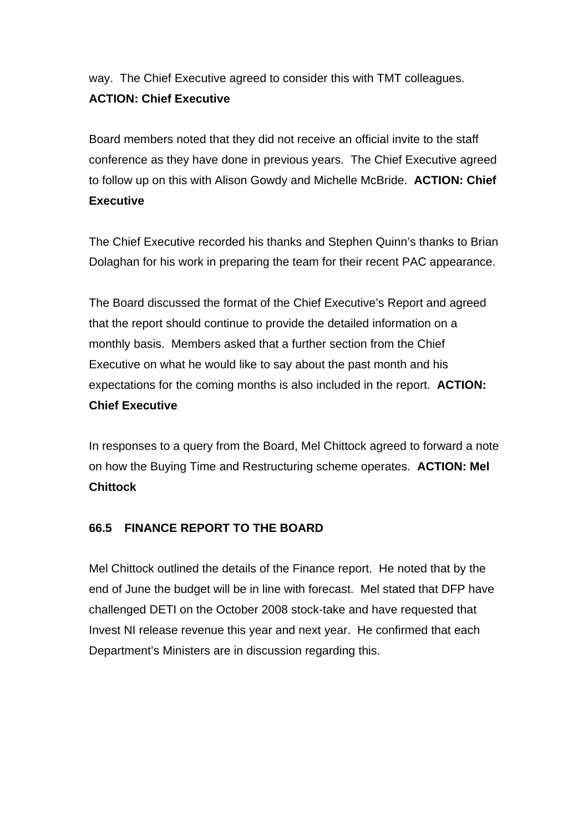way. The Chief Executive agreed to consider this with TMT colleagues. **ACTION: Chief Executive**

Board members noted that they did not receive an official invite to the staff conference as they have done in previous years. The Chief Executive agreed to follow up on this with Alison Gowdy and Michelle McBride. **ACTION: Chief Executive** 

The Chief Executive recorded his thanks and Stephen Quinn's thanks to Brian Dolaghan for his work in preparing the team for their recent PAC appearance.

The Board discussed the format of the Chief Executive's Report and agreed that the report should continue to provide the detailed information on a monthly basis. Members asked that a further section from the Chief Executive on what he would like to say about the past month and his expectations for the coming months is also included in the report. **ACTION: Chief Executive**

In responses to a query from the Board, Mel Chittock agreed to forward a note on how the Buying Time and Restructuring scheme operates. **ACTION: Mel Chittock**

# **66.5 FINANCE REPORT TO THE BOARD**

Mel Chittock outlined the details of the Finance report. He noted that by the end of June the budget will be in line with forecast. Mel stated that DFP have challenged DETI on the October 2008 stock-take and have requested that Invest NI release revenue this year and next year. He confirmed that each Department's Ministers are in discussion regarding this.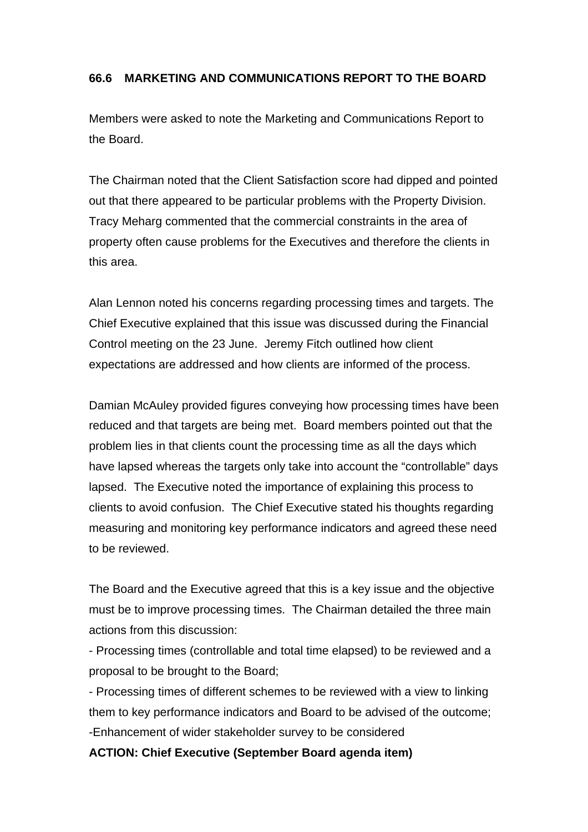## **66.6 MARKETING AND COMMUNICATIONS REPORT TO THE BOARD**

Members were asked to note the Marketing and Communications Report to the Board.

The Chairman noted that the Client Satisfaction score had dipped and pointed out that there appeared to be particular problems with the Property Division. Tracy Meharg commented that the commercial constraints in the area of property often cause problems for the Executives and therefore the clients in this area.

Alan Lennon noted his concerns regarding processing times and targets. The Chief Executive explained that this issue was discussed during the Financial Control meeting on the 23 June. Jeremy Fitch outlined how client expectations are addressed and how clients are informed of the process.

Damian McAuley provided figures conveying how processing times have been reduced and that targets are being met. Board members pointed out that the problem lies in that clients count the processing time as all the days which have lapsed whereas the targets only take into account the "controllable" days lapsed. The Executive noted the importance of explaining this process to clients to avoid confusion. The Chief Executive stated his thoughts regarding measuring and monitoring key performance indicators and agreed these need to be reviewed.

The Board and the Executive agreed that this is a key issue and the objective must be to improve processing times. The Chairman detailed the three main actions from this discussion:

- Processing times (controllable and total time elapsed) to be reviewed and a proposal to be brought to the Board;

- Processing times of different schemes to be reviewed with a view to linking them to key performance indicators and Board to be advised of the outcome; -Enhancement of wider stakeholder survey to be considered

#### **ACTION: Chief Executive (September Board agenda item)**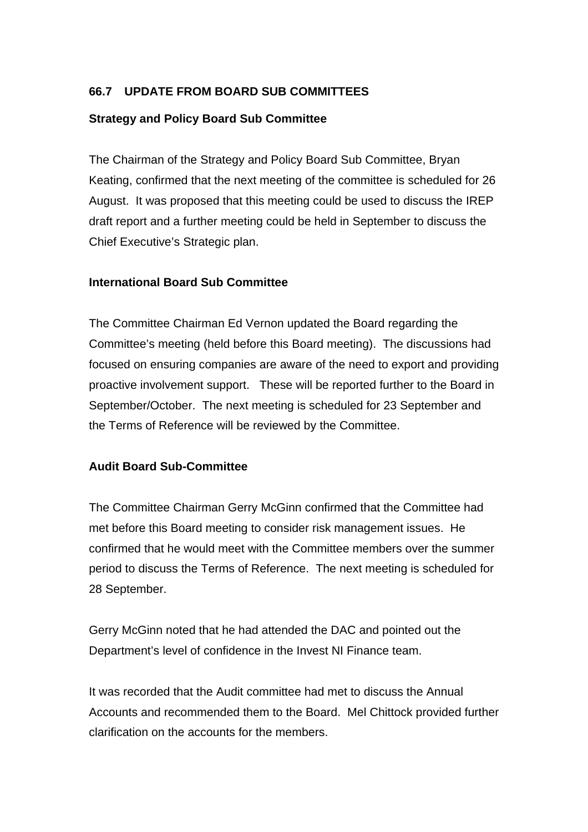## **66.7 UPDATE FROM BOARD SUB COMMITTEES**

## **Strategy and Policy Board Sub Committee**

The Chairman of the Strategy and Policy Board Sub Committee, Bryan Keating, confirmed that the next meeting of the committee is scheduled for 26 August. It was proposed that this meeting could be used to discuss the IREP draft report and a further meeting could be held in September to discuss the Chief Executive's Strategic plan.

#### **International Board Sub Committee**

The Committee Chairman Ed Vernon updated the Board regarding the Committee's meeting (held before this Board meeting). The discussions had focused on ensuring companies are aware of the need to export and providing proactive involvement support. These will be reported further to the Board in September/October. The next meeting is scheduled for 23 September and the Terms of Reference will be reviewed by the Committee.

#### **Audit Board Sub-Committee**

The Committee Chairman Gerry McGinn confirmed that the Committee had met before this Board meeting to consider risk management issues. He confirmed that he would meet with the Committee members over the summer period to discuss the Terms of Reference. The next meeting is scheduled for 28 September.

Gerry McGinn noted that he had attended the DAC and pointed out the Department's level of confidence in the Invest NI Finance team.

It was recorded that the Audit committee had met to discuss the Annual Accounts and recommended them to the Board. Mel Chittock provided further clarification on the accounts for the members.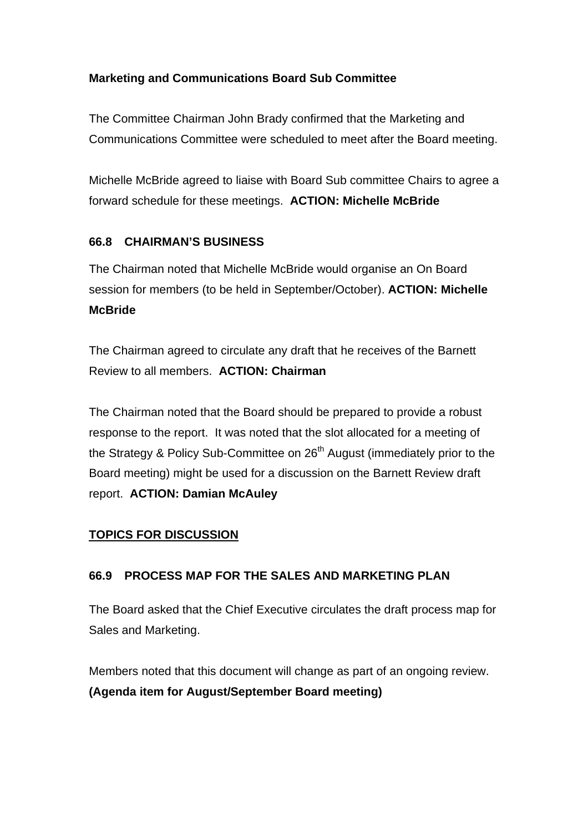# **Marketing and Communications Board Sub Committee**

The Committee Chairman John Brady confirmed that the Marketing and Communications Committee were scheduled to meet after the Board meeting.

Michelle McBride agreed to liaise with Board Sub committee Chairs to agree a forward schedule for these meetings. **ACTION: Michelle McBride**

# **66.8 CHAIRMAN'S BUSINESS**

The Chairman noted that Michelle McBride would organise an On Board session for members (to be held in September/October). **ACTION: Michelle McBride**

The Chairman agreed to circulate any draft that he receives of the Barnett Review to all members. **ACTION: Chairman**

The Chairman noted that the Board should be prepared to provide a robust response to the report. It was noted that the slot allocated for a meeting of the Strategy & Policy Sub-Committee on  $26<sup>th</sup>$  August (immediately prior to the Board meeting) might be used for a discussion on the Barnett Review draft report. **ACTION: Damian McAuley** 

# **TOPICS FOR DISCUSSION**

# **66.9 PROCESS MAP FOR THE SALES AND MARKETING PLAN**

The Board asked that the Chief Executive circulates the draft process map for Sales and Marketing.

Members noted that this document will change as part of an ongoing review. **(Agenda item for August/September Board meeting)**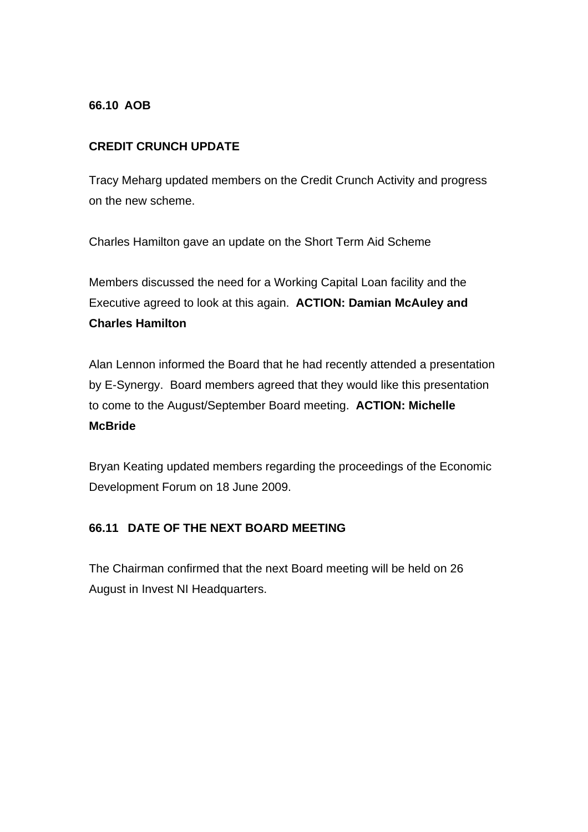## **66.10 AOB**

# **CREDIT CRUNCH UPDATE**

Tracy Meharg updated members on the Credit Crunch Activity and progress on the new scheme.

Charles Hamilton gave an update on the Short Term Aid Scheme

Members discussed the need for a Working Capital Loan facility and the Executive agreed to look at this again. **ACTION: Damian McAuley and Charles Hamilton** 

Alan Lennon informed the Board that he had recently attended a presentation by E-Synergy. Board members agreed that they would like this presentation to come to the August/September Board meeting. **ACTION: Michelle McBride**

Bryan Keating updated members regarding the proceedings of the Economic Development Forum on 18 June 2009.

# **66.11 DATE OF THE NEXT BOARD MEETING**

The Chairman confirmed that the next Board meeting will be held on 26 August in Invest NI Headquarters.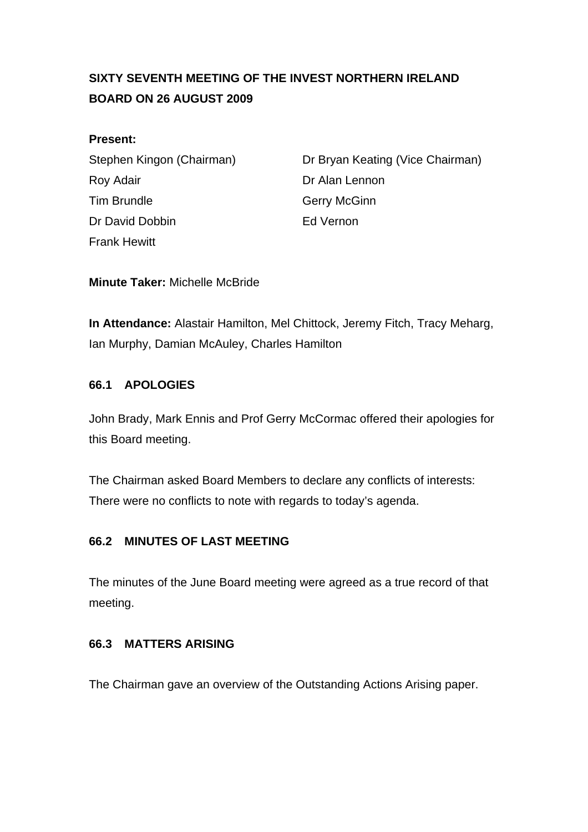# **SIXTY SEVENTH MEETING OF THE INVEST NORTHERN IRELAND BOARD ON 26 AUGUST 2009**

## **Present:**

Roy Adair **Note 2018** Dr Alan Lennon Tim Brundle Gerry McGinn Dr David Dobbin **Ed Vernon** Frank Hewitt

Stephen Kingon (Chairman) Dr Bryan Keating (Vice Chairman)

**Minute Taker:** Michelle McBride

**In Attendance:** Alastair Hamilton, Mel Chittock, Jeremy Fitch, Tracy Meharg, Ian Murphy, Damian McAuley, Charles Hamilton

# **66.1 APOLOGIES**

John Brady, Mark Ennis and Prof Gerry McCormac offered their apologies for this Board meeting.

The Chairman asked Board Members to declare any conflicts of interests: There were no conflicts to note with regards to today's agenda.

# **66.2 MINUTES OF LAST MEETING**

The minutes of the June Board meeting were agreed as a true record of that meeting.

# **66.3 MATTERS ARISING**

The Chairman gave an overview of the Outstanding Actions Arising paper.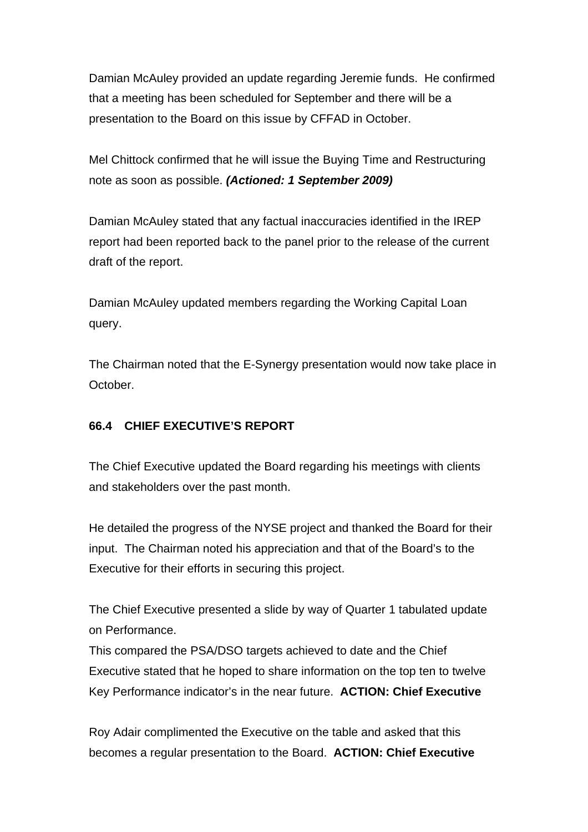Damian McAuley provided an update regarding Jeremie funds. He confirmed that a meeting has been scheduled for September and there will be a presentation to the Board on this issue by CFFAD in October.

Mel Chittock confirmed that he will issue the Buying Time and Restructuring note as soon as possible. *(Actioned: 1 September 2009)*

Damian McAuley stated that any factual inaccuracies identified in the IREP report had been reported back to the panel prior to the release of the current draft of the report.

Damian McAuley updated members regarding the Working Capital Loan query.

The Chairman noted that the E-Synergy presentation would now take place in October.

# **66.4 CHIEF EXECUTIVE'S REPORT**

The Chief Executive updated the Board regarding his meetings with clients and stakeholders over the past month.

He detailed the progress of the NYSE project and thanked the Board for their input. The Chairman noted his appreciation and that of the Board's to the Executive for their efforts in securing this project.

The Chief Executive presented a slide by way of Quarter 1 tabulated update on Performance.

This compared the PSA/DSO targets achieved to date and the Chief Executive stated that he hoped to share information on the top ten to twelve Key Performance indicator's in the near future. **ACTION: Chief Executive**

Roy Adair complimented the Executive on the table and asked that this becomes a regular presentation to the Board. **ACTION: Chief Executive**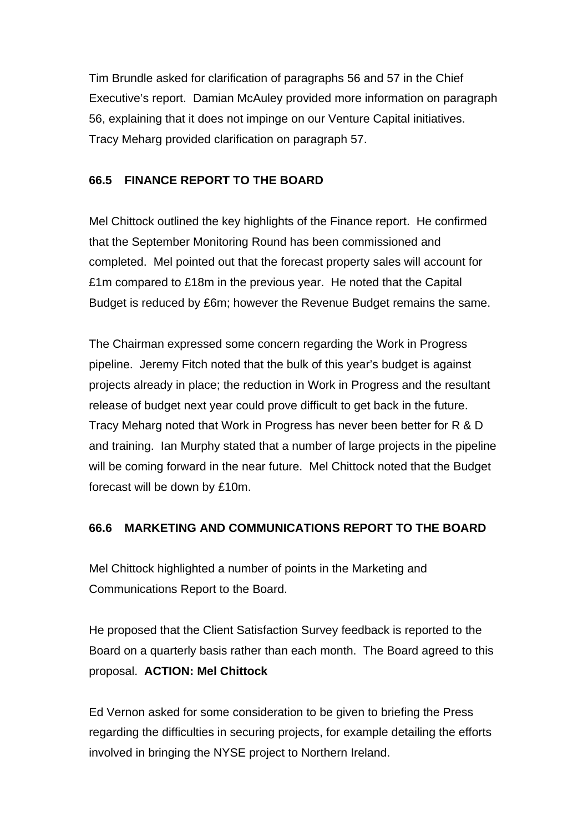Tim Brundle asked for clarification of paragraphs 56 and 57 in the Chief Executive's report. Damian McAuley provided more information on paragraph 56, explaining that it does not impinge on our Venture Capital initiatives. Tracy Meharg provided clarification on paragraph 57.

# **66.5 FINANCE REPORT TO THE BOARD**

Mel Chittock outlined the key highlights of the Finance report. He confirmed that the September Monitoring Round has been commissioned and completed. Mel pointed out that the forecast property sales will account for £1m compared to £18m in the previous year. He noted that the Capital Budget is reduced by £6m; however the Revenue Budget remains the same.

The Chairman expressed some concern regarding the Work in Progress pipeline. Jeremy Fitch noted that the bulk of this year's budget is against projects already in place; the reduction in Work in Progress and the resultant release of budget next year could prove difficult to get back in the future. Tracy Meharg noted that Work in Progress has never been better for R & D and training. Ian Murphy stated that a number of large projects in the pipeline will be coming forward in the near future. Mel Chittock noted that the Budget forecast will be down by £10m.

# **66.6 MARKETING AND COMMUNICATIONS REPORT TO THE BOARD**

Mel Chittock highlighted a number of points in the Marketing and Communications Report to the Board.

He proposed that the Client Satisfaction Survey feedback is reported to the Board on a quarterly basis rather than each month. The Board agreed to this proposal. **ACTION: Mel Chittock**

Ed Vernon asked for some consideration to be given to briefing the Press regarding the difficulties in securing projects, for example detailing the efforts involved in bringing the NYSE project to Northern Ireland.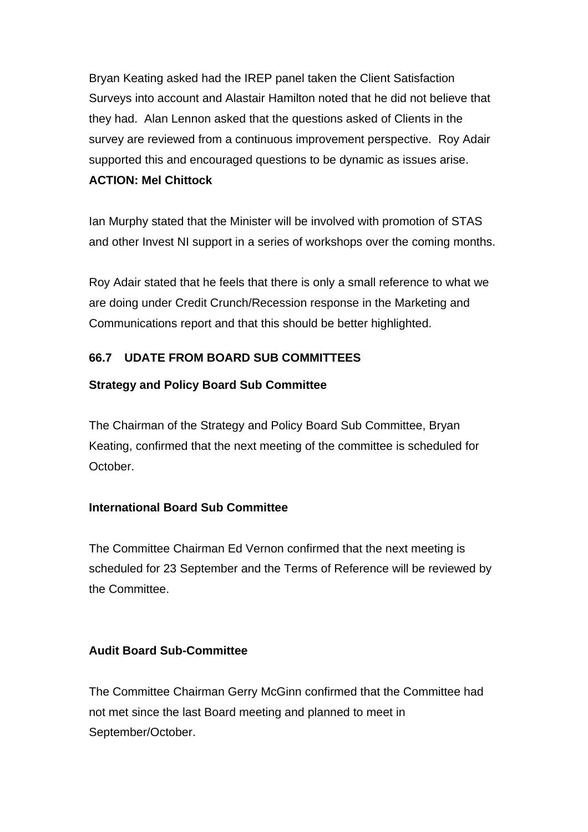Bryan Keating asked had the IREP panel taken the Client Satisfaction Surveys into account and Alastair Hamilton noted that he did not believe that they had. Alan Lennon asked that the questions asked of Clients in the survey are reviewed from a continuous improvement perspective. Roy Adair supported this and encouraged questions to be dynamic as issues arise.

# **ACTION: Mel Chittock**

Ian Murphy stated that the Minister will be involved with promotion of STAS and other Invest NI support in a series of workshops over the coming months.

Roy Adair stated that he feels that there is only a small reference to what we are doing under Credit Crunch/Recession response in the Marketing and Communications report and that this should be better highlighted.

# **66.7 UDATE FROM BOARD SUB COMMITTEES**

# **Strategy and Policy Board Sub Committee**

The Chairman of the Strategy and Policy Board Sub Committee, Bryan Keating, confirmed that the next meeting of the committee is scheduled for October.

# **International Board Sub Committee**

The Committee Chairman Ed Vernon confirmed that the next meeting is scheduled for 23 September and the Terms of Reference will be reviewed by the Committee.

# **Audit Board Sub-Committee**

The Committee Chairman Gerry McGinn confirmed that the Committee had not met since the last Board meeting and planned to meet in September/October.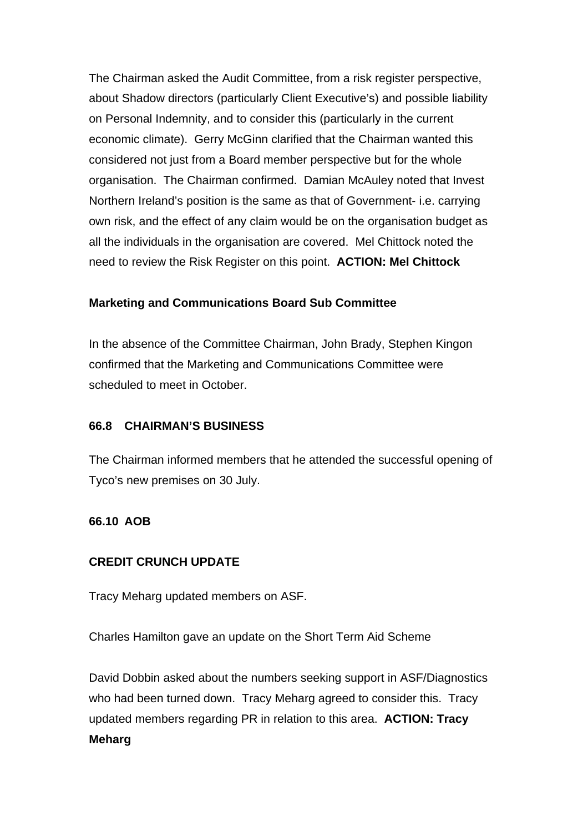The Chairman asked the Audit Committee, from a risk register perspective, about Shadow directors (particularly Client Executive's) and possible liability on Personal Indemnity, and to consider this (particularly in the current economic climate). Gerry McGinn clarified that the Chairman wanted this considered not just from a Board member perspective but for the whole organisation. The Chairman confirmed. Damian McAuley noted that Invest Northern Ireland's position is the same as that of Government- i.e. carrying own risk, and the effect of any claim would be on the organisation budget as all the individuals in the organisation are covered. Mel Chittock noted the need to review the Risk Register on this point. **ACTION: Mel Chittock**

#### **Marketing and Communications Board Sub Committee**

In the absence of the Committee Chairman, John Brady, Stephen Kingon confirmed that the Marketing and Communications Committee were scheduled to meet in October.

#### **66.8 CHAIRMAN'S BUSINESS**

The Chairman informed members that he attended the successful opening of Tyco's new premises on 30 July.

#### **66.10 AOB**

#### **CREDIT CRUNCH UPDATE**

Tracy Meharg updated members on ASF.

Charles Hamilton gave an update on the Short Term Aid Scheme

David Dobbin asked about the numbers seeking support in ASF/Diagnostics who had been turned down. Tracy Meharg agreed to consider this. Tracy updated members regarding PR in relation to this area. **ACTION: Tracy Meharg**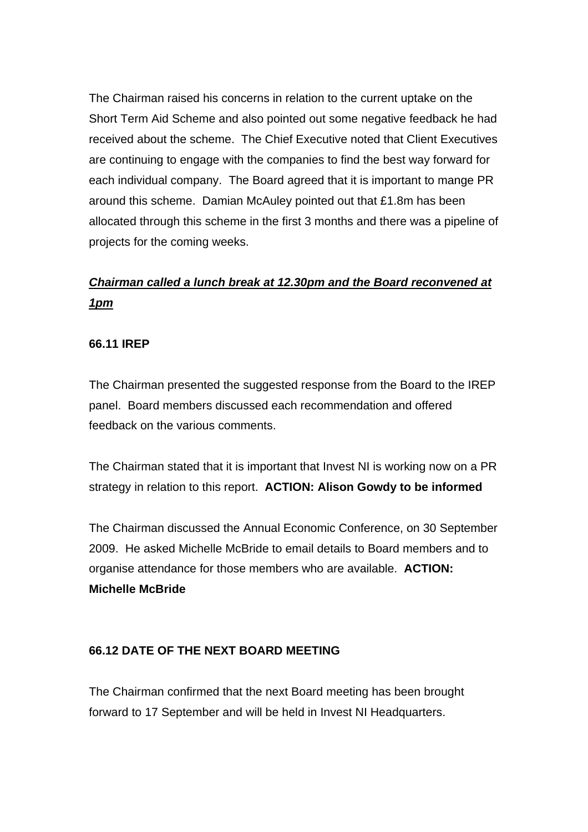The Chairman raised his concerns in relation to the current uptake on the Short Term Aid Scheme and also pointed out some negative feedback he had received about the scheme. The Chief Executive noted that Client Executives are continuing to engage with the companies to find the best way forward for each individual company. The Board agreed that it is important to mange PR around this scheme. Damian McAuley pointed out that £1.8m has been allocated through this scheme in the first 3 months and there was a pipeline of projects for the coming weeks.

# *Chairman called a lunch break at 12.30pm and the Board reconvened at 1pm*

## **66.11 IREP**

The Chairman presented the suggested response from the Board to the IREP panel. Board members discussed each recommendation and offered feedback on the various comments.

The Chairman stated that it is important that Invest NI is working now on a PR strategy in relation to this report. **ACTION: Alison Gowdy to be informed**

The Chairman discussed the Annual Economic Conference, on 30 September 2009. He asked Michelle McBride to email details to Board members and to organise attendance for those members who are available. **ACTION: Michelle McBride**

#### **66.12 DATE OF THE NEXT BOARD MEETING**

The Chairman confirmed that the next Board meeting has been brought forward to 17 September and will be held in Invest NI Headquarters.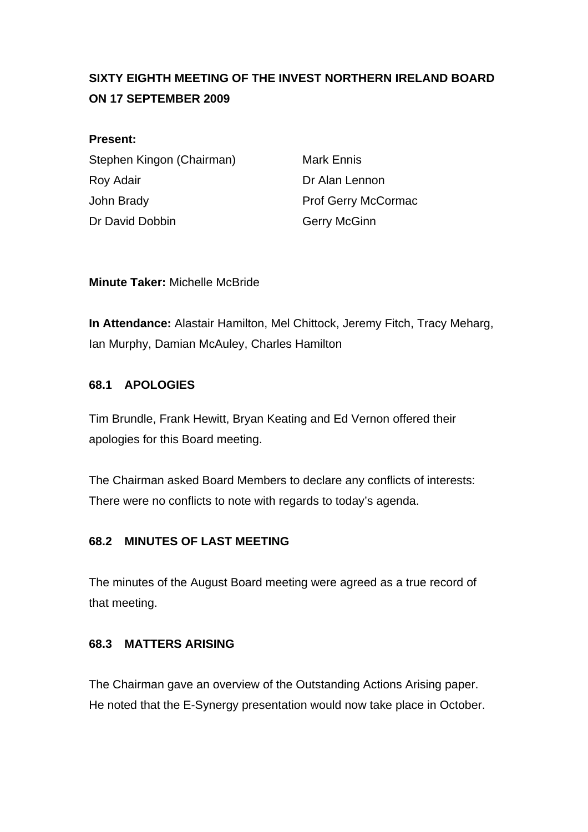# **SIXTY EIGHTH MEETING OF THE INVEST NORTHERN IRELAND BOARD ON 17 SEPTEMBER 2009**

## **Present:**

Stephen Kingon (Chairman) Mark Ennis Roy Adair **Note 2018** Dr Alan Lennon John Brady **Prof Gerry McCormac** Dr David Dobbin Gerry McGinn

# **Minute Taker:** Michelle McBride

**In Attendance:** Alastair Hamilton, Mel Chittock, Jeremy Fitch, Tracy Meharg, Ian Murphy, Damian McAuley, Charles Hamilton

# **68.1 APOLOGIES**

Tim Brundle, Frank Hewitt, Bryan Keating and Ed Vernon offered their apologies for this Board meeting.

The Chairman asked Board Members to declare any conflicts of interests: There were no conflicts to note with regards to today's agenda.

# **68.2 MINUTES OF LAST MEETING**

The minutes of the August Board meeting were agreed as a true record of that meeting.

# **68.3 MATTERS ARISING**

The Chairman gave an overview of the Outstanding Actions Arising paper. He noted that the E-Synergy presentation would now take place in October.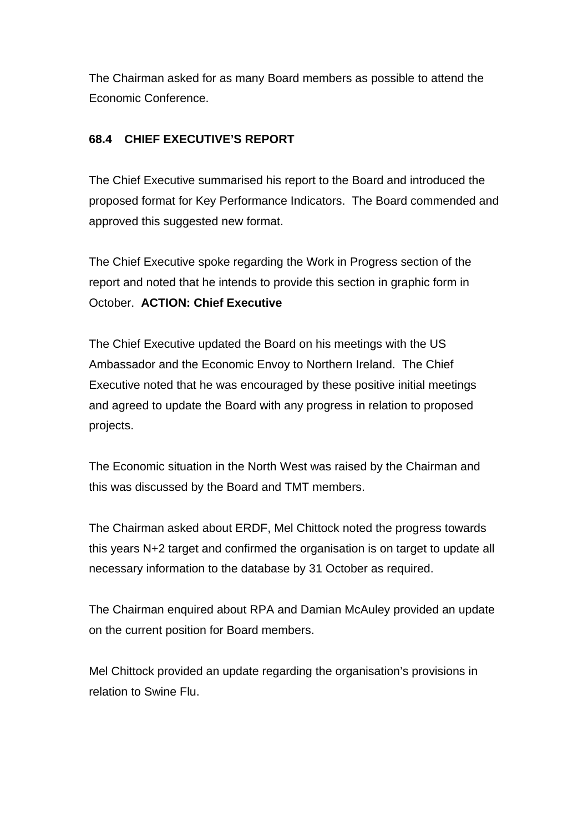The Chairman asked for as many Board members as possible to attend the Economic Conference.

# **68.4 CHIEF EXECUTIVE'S REPORT**

The Chief Executive summarised his report to the Board and introduced the proposed format for Key Performance Indicators. The Board commended and approved this suggested new format.

The Chief Executive spoke regarding the Work in Progress section of the report and noted that he intends to provide this section in graphic form in October. **ACTION: Chief Executive** 

The Chief Executive updated the Board on his meetings with the US Ambassador and the Economic Envoy to Northern Ireland. The Chief Executive noted that he was encouraged by these positive initial meetings and agreed to update the Board with any progress in relation to proposed projects.

The Economic situation in the North West was raised by the Chairman and this was discussed by the Board and TMT members.

The Chairman asked about ERDF, Mel Chittock noted the progress towards this years N+2 target and confirmed the organisation is on target to update all necessary information to the database by 31 October as required.

The Chairman enquired about RPA and Damian McAuley provided an update on the current position for Board members.

Mel Chittock provided an update regarding the organisation's provisions in relation to Swine Flu.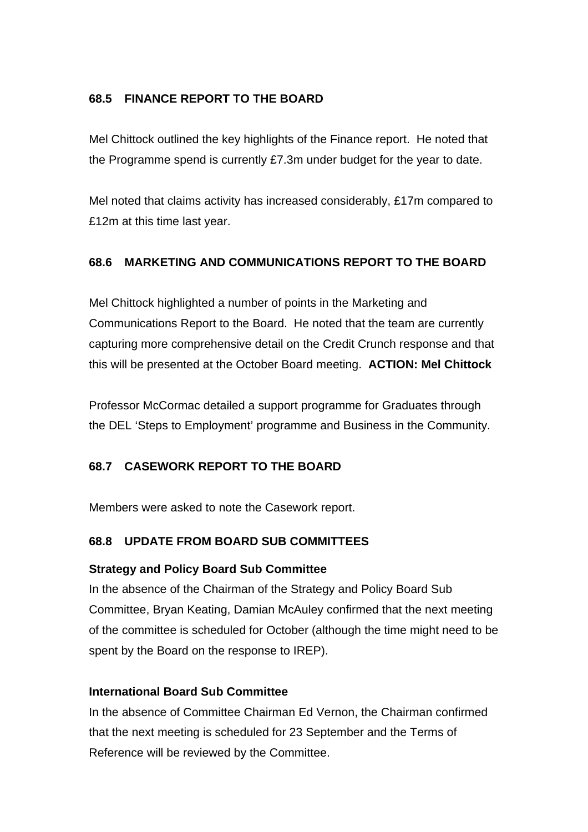# **68.5 FINANCE REPORT TO THE BOARD**

Mel Chittock outlined the key highlights of the Finance report. He noted that the Programme spend is currently £7.3m under budget for the year to date.

Mel noted that claims activity has increased considerably, £17m compared to £12m at this time last year.

# **68.6 MARKETING AND COMMUNICATIONS REPORT TO THE BOARD**

Mel Chittock highlighted a number of points in the Marketing and Communications Report to the Board. He noted that the team are currently capturing more comprehensive detail on the Credit Crunch response and that this will be presented at the October Board meeting. **ACTION: Mel Chittock**

Professor McCormac detailed a support programme for Graduates through the DEL 'Steps to Employment' programme and Business in the Community.

# **68.7 CASEWORK REPORT TO THE BOARD**

Members were asked to note the Casework report.

# **68.8 UPDATE FROM BOARD SUB COMMITTEES**

# **Strategy and Policy Board Sub Committee**

In the absence of the Chairman of the Strategy and Policy Board Sub Committee, Bryan Keating, Damian McAuley confirmed that the next meeting of the committee is scheduled for October (although the time might need to be spent by the Board on the response to IREP).

# **International Board Sub Committee**

In the absence of Committee Chairman Ed Vernon, the Chairman confirmed that the next meeting is scheduled for 23 September and the Terms of Reference will be reviewed by the Committee.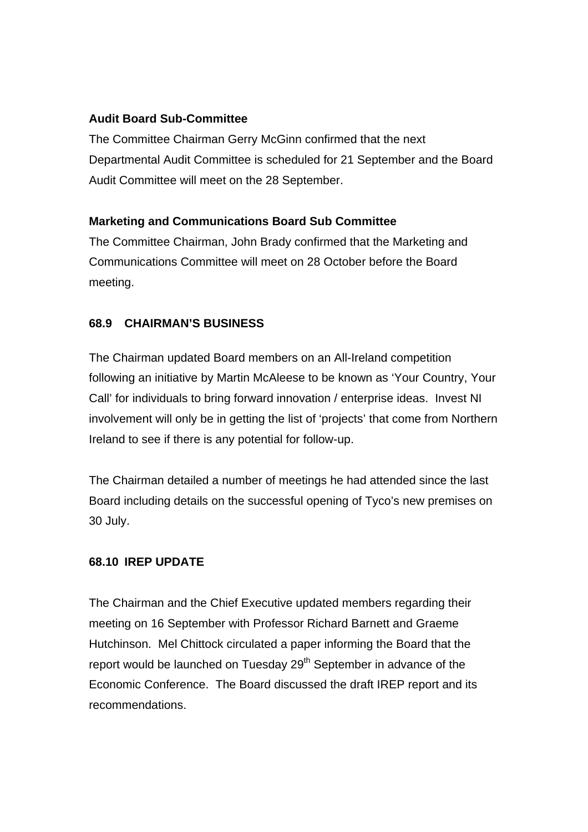# **Audit Board Sub-Committee**

The Committee Chairman Gerry McGinn confirmed that the next Departmental Audit Committee is scheduled for 21 September and the Board Audit Committee will meet on the 28 September.

# **Marketing and Communications Board Sub Committee**

The Committee Chairman, John Brady confirmed that the Marketing and Communications Committee will meet on 28 October before the Board meeting.

# **68.9 CHAIRMAN'S BUSINESS**

The Chairman updated Board members on an All-Ireland competition following an initiative by Martin McAleese to be known as 'Your Country, Your Call' for individuals to bring forward innovation / enterprise ideas. Invest NI involvement will only be in getting the list of 'projects' that come from Northern Ireland to see if there is any potential for follow-up.

The Chairman detailed a number of meetings he had attended since the last Board including details on the successful opening of Tyco's new premises on 30 July.

# **68.10 IREP UPDATE**

The Chairman and the Chief Executive updated members regarding their meeting on 16 September with Professor Richard Barnett and Graeme Hutchinson. Mel Chittock circulated a paper informing the Board that the report would be launched on Tuesday 29<sup>th</sup> September in advance of the Economic Conference. The Board discussed the draft IREP report and its recommendations.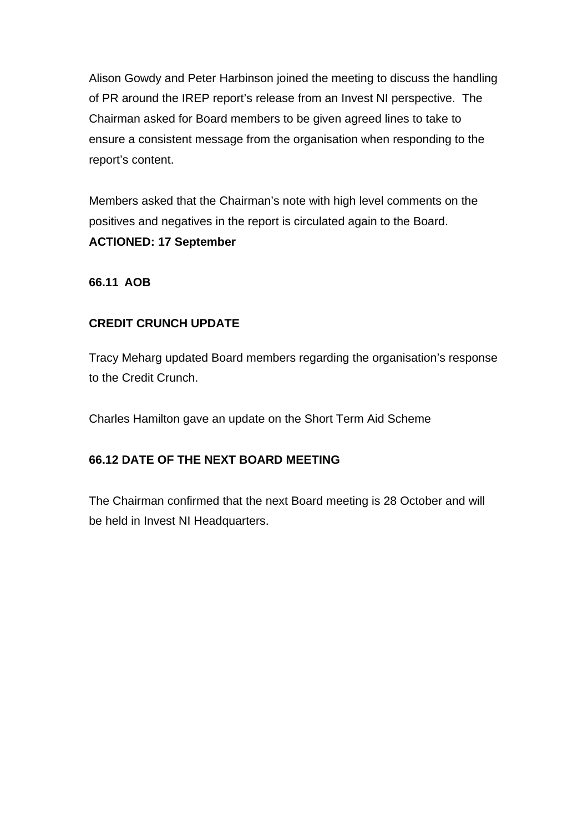Alison Gowdy and Peter Harbinson joined the meeting to discuss the handling of PR around the IREP report's release from an Invest NI perspective. The Chairman asked for Board members to be given agreed lines to take to ensure a consistent message from the organisation when responding to the report's content.

Members asked that the Chairman's note with high level comments on the positives and negatives in the report is circulated again to the Board. **ACTIONED: 17 September**

# **66.11 AOB**

# **CREDIT CRUNCH UPDATE**

Tracy Meharg updated Board members regarding the organisation's response to the Credit Crunch.

Charles Hamilton gave an update on the Short Term Aid Scheme

# **66.12 DATE OF THE NEXT BOARD MEETING**

The Chairman confirmed that the next Board meeting is 28 October and will be held in Invest NI Headquarters.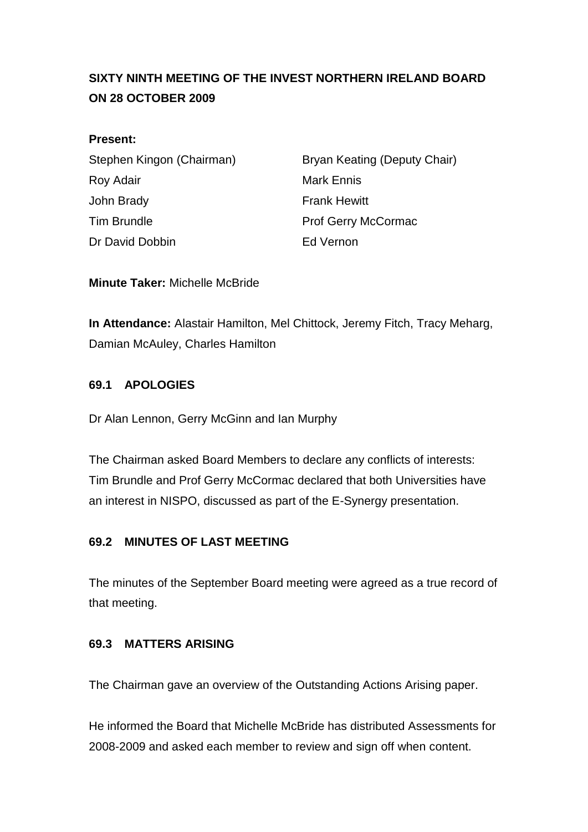# **SIXTY NINTH MEETING OF THE INVEST NORTHERN IRELAND BOARD ON 28 OCTOBER 2009**

## **Present:**

| Stephen Kingon (Chairman) |
|---------------------------|
| Roy Adair                 |
| John Brady                |
| Tim Brundle               |
| Dr David Dobbin           |

Bryan Keating (Deputy Chair) Mark Ennis **Frank Hewitt** Prof Gerry McCormac **Fd Vernon** 

**Minute Taker:** Michelle McBride

**In Attendance:** Alastair Hamilton, Mel Chittock, Jeremy Fitch, Tracy Meharg, Damian McAuley, Charles Hamilton

## **69.1 APOLOGIES**

Dr Alan Lennon, Gerry McGinn and Ian Murphy

The Chairman asked Board Members to declare any conflicts of interests: Tim Brundle and Prof Gerry McCormac declared that both Universities have an interest in NISPO, discussed as part of the E-Synergy presentation.

# **69.2 MINUTES OF LAST MEETING**

The minutes of the September Board meeting were agreed as a true record of that meeting.

#### **69.3 MATTERS ARISING**

The Chairman gave an overview of the Outstanding Actions Arising paper.

He informed the Board that Michelle McBride has distributed Assessments for 2008-2009 and asked each member to review and sign off when content.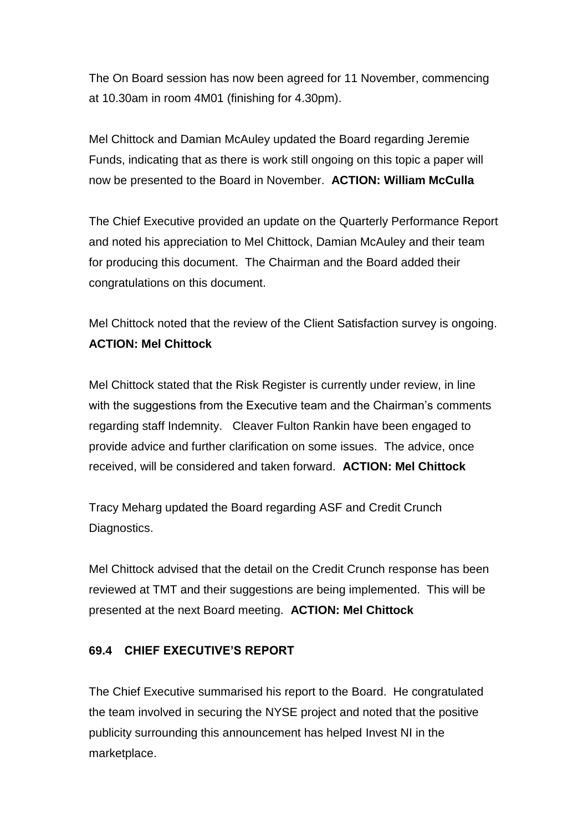The On Board session has now been agreed for 11 November, commencing at 10.30am in room 4M01 (finishing for 4.30pm).

Mel Chittock and Damian McAuley updated the Board regarding Jeremie Funds, indicating that as there is work still ongoing on this topic a paper will now be presented to the Board in November. **ACTION: William McCulla**

The Chief Executive provided an update on the Quarterly Performance Report and noted his appreciation to Mel Chittock, Damian McAuley and their team for producing this document. The Chairman and the Board added their congratulations on this document.

Mel Chittock noted that the review of the Client Satisfaction survey is ongoing. **ACTION: Mel Chittock**

Mel Chittock stated that the Risk Register is currently under review, in line with the suggestions from the Executive team and the Chairman's comments regarding staff Indemnity. Cleaver Fulton Rankin have been engaged to provide advice and further clarification on some issues. The advice, once received, will be considered and taken forward. **ACTION: Mel Chittock**

Tracy Meharg updated the Board regarding ASF and Credit Crunch Diagnostics.

Mel Chittock advised that the detail on the Credit Crunch response has been reviewed at TMT and their suggestions are being implemented. This will be presented at the next Board meeting. **ACTION: Mel Chittock**

# **69.4 CHIEF EXECUTIVE'S REPORT**

The Chief Executive summarised his report to the Board. He congratulated the team involved in securing the NYSE project and noted that the positive publicity surrounding this announcement has helped Invest NI in the marketplace.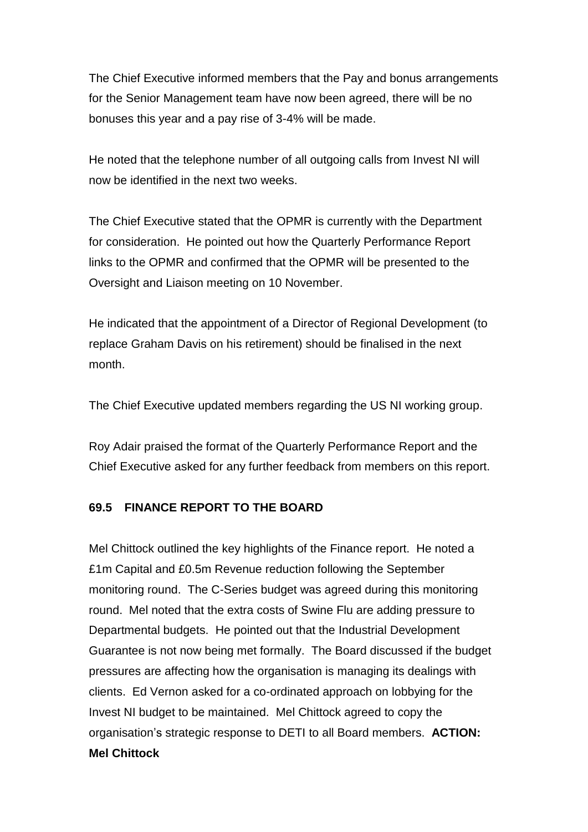The Chief Executive informed members that the Pay and bonus arrangements for the Senior Management team have now been agreed, there will be no bonuses this year and a pay rise of 3-4% will be made.

He noted that the telephone number of all outgoing calls from Invest NI will now be identified in the next two weeks.

The Chief Executive stated that the OPMR is currently with the Department for consideration. He pointed out how the Quarterly Performance Report links to the OPMR and confirmed that the OPMR will be presented to the Oversight and Liaison meeting on 10 November.

He indicated that the appointment of a Director of Regional Development (to replace Graham Davis on his retirement) should be finalised in the next month.

The Chief Executive updated members regarding the US NI working group.

Roy Adair praised the format of the Quarterly Performance Report and the Chief Executive asked for any further feedback from members on this report.

# **69.5 FINANCE REPORT TO THE BOARD**

Mel Chittock outlined the key highlights of the Finance report. He noted a £1m Capital and £0.5m Revenue reduction following the September monitoring round. The C-Series budget was agreed during this monitoring round. Mel noted that the extra costs of Swine Flu are adding pressure to Departmental budgets. He pointed out that the Industrial Development Guarantee is not now being met formally. The Board discussed if the budget pressures are affecting how the organisation is managing its dealings with clients. Ed Vernon asked for a co-ordinated approach on lobbying for the Invest NI budget to be maintained. Mel Chittock agreed to copy the organisation's strategic response to DETI to all Board members. **ACTION: Mel Chittock**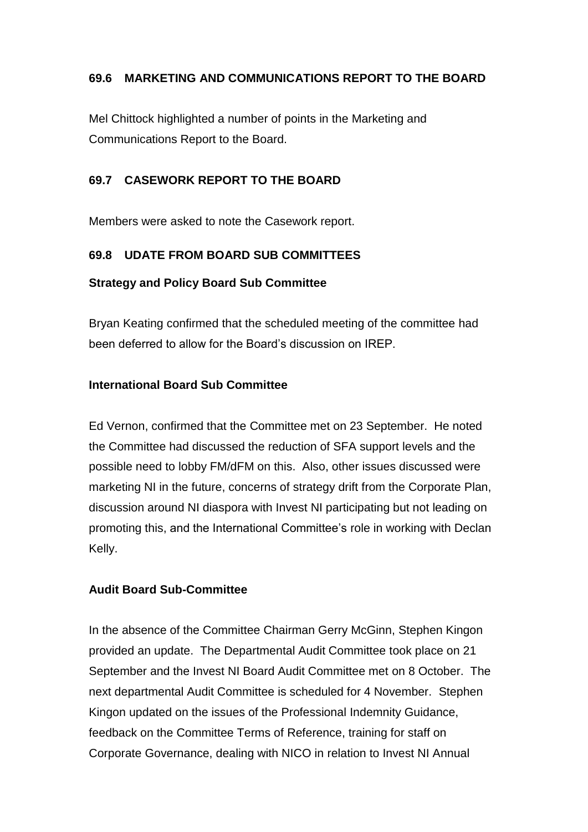# **69.6 MARKETING AND COMMUNICATIONS REPORT TO THE BOARD**

Mel Chittock highlighted a number of points in the Marketing and Communications Report to the Board.

# **69.7 CASEWORK REPORT TO THE BOARD**

Members were asked to note the Casework report.

# **69.8 UDATE FROM BOARD SUB COMMITTEES**

# **Strategy and Policy Board Sub Committee**

Bryan Keating confirmed that the scheduled meeting of the committee had been deferred to allow for the Board's discussion on IREP.

# **International Board Sub Committee**

Ed Vernon, confirmed that the Committee met on 23 September. He noted the Committee had discussed the reduction of SFA support levels and the possible need to lobby FM/dFM on this. Also, other issues discussed were marketing NI in the future, concerns of strategy drift from the Corporate Plan, discussion around NI diaspora with Invest NI participating but not leading on promoting this, and the International Committee's role in working with Declan Kelly.

# **Audit Board Sub-Committee**

In the absence of the Committee Chairman Gerry McGinn, Stephen Kingon provided an update. The Departmental Audit Committee took place on 21 September and the Invest NI Board Audit Committee met on 8 October. The next departmental Audit Committee is scheduled for 4 November. Stephen Kingon updated on the issues of the Professional Indemnity Guidance, feedback on the Committee Terms of Reference, training for staff on Corporate Governance, dealing with NICO in relation to Invest NI Annual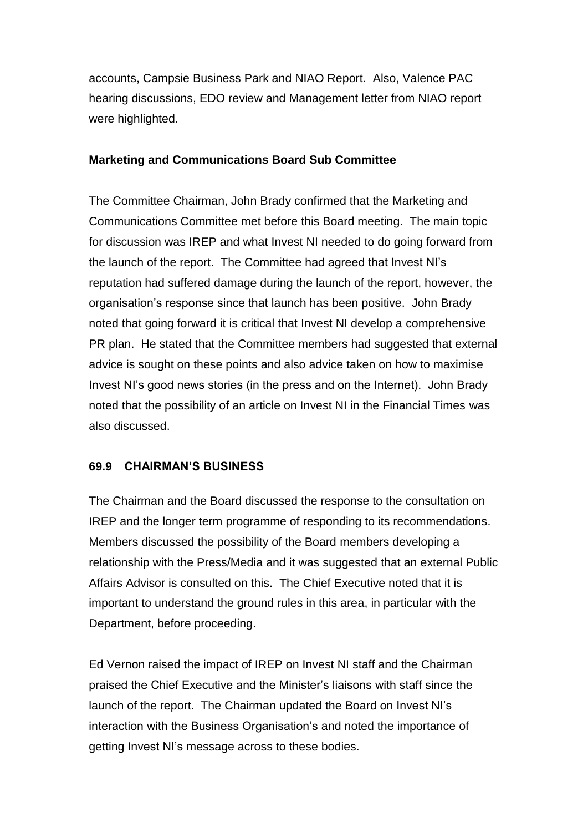accounts, Campsie Business Park and NIAO Report. Also, Valence PAC hearing discussions, EDO review and Management letter from NIAO report were highlighted.

#### **Marketing and Communications Board Sub Committee**

The Committee Chairman, John Brady confirmed that the Marketing and Communications Committee met before this Board meeting. The main topic for discussion was IREP and what Invest NI needed to do going forward from the launch of the report. The Committee had agreed that Invest NI's reputation had suffered damage during the launch of the report, however, the organisation's response since that launch has been positive. John Brady noted that going forward it is critical that Invest NI develop a comprehensive PR plan. He stated that the Committee members had suggested that external advice is sought on these points and also advice taken on how to maximise Invest NI's good news stories (in the press and on the Internet). John Brady noted that the possibility of an article on Invest NI in the Financial Times was also discussed.

#### **69.9 CHAIRMAN'S BUSINESS**

The Chairman and the Board discussed the response to the consultation on IREP and the longer term programme of responding to its recommendations. Members discussed the possibility of the Board members developing a relationship with the Press/Media and it was suggested that an external Public Affairs Advisor is consulted on this. The Chief Executive noted that it is important to understand the ground rules in this area, in particular with the Department, before proceeding.

Ed Vernon raised the impact of IREP on Invest NI staff and the Chairman praised the Chief Executive and the Minister's liaisons with staff since the launch of the report. The Chairman updated the Board on Invest NI's interaction with the Business Organisation's and noted the importance of getting Invest NI's message across to these bodies.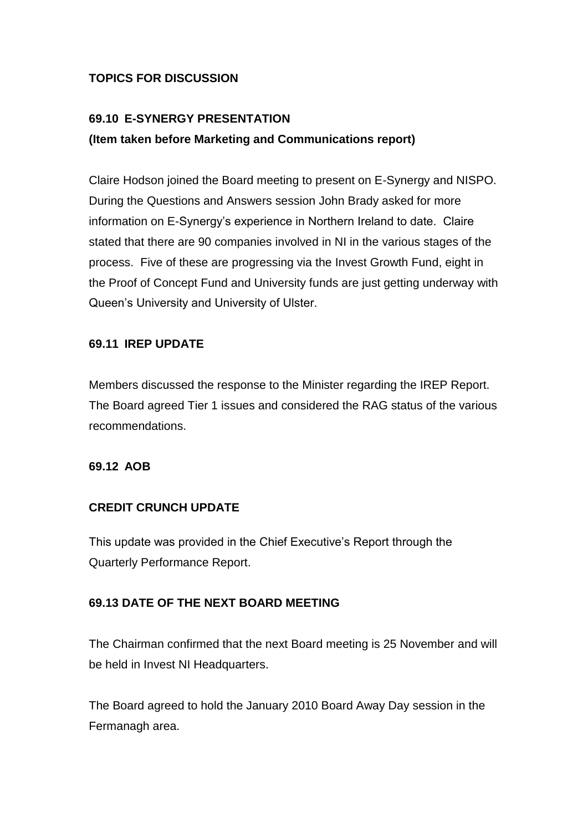# **TOPICS FOR DISCUSSION**

# **69.10 E-SYNERGY PRESENTATION (Item taken before Marketing and Communications report)**

Claire Hodson joined the Board meeting to present on E-Synergy and NISPO. During the Questions and Answers session John Brady asked for more information on E-Synergy's experience in Northern Ireland to date. Claire stated that there are 90 companies involved in NI in the various stages of the process. Five of these are progressing via the Invest Growth Fund, eight in the Proof of Concept Fund and University funds are just getting underway with Queen's University and University of Ulster.

# **69.11 IREP UPDATE**

Members discussed the response to the Minister regarding the IREP Report. The Board agreed Tier 1 issues and considered the RAG status of the various recommendations.

#### **69.12 AOB**

# **CREDIT CRUNCH UPDATE**

This update was provided in the Chief Executive's Report through the Quarterly Performance Report.

# **69.13 DATE OF THE NEXT BOARD MEETING**

The Chairman confirmed that the next Board meeting is 25 November and will be held in Invest NI Headquarters.

The Board agreed to hold the January 2010 Board Away Day session in the Fermanagh area.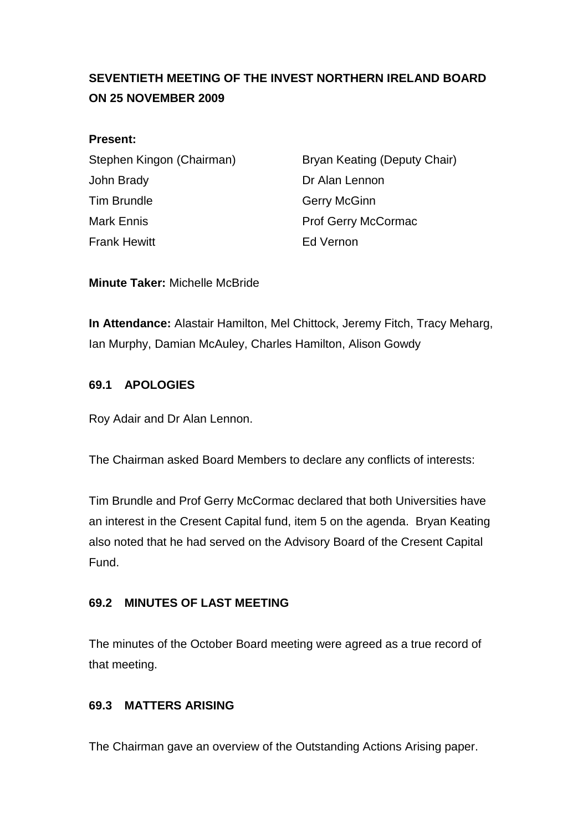# **SEVENTIETH MEETING OF THE INVEST NORTHERN IRELAND BOARD ON 25 NOVEMBER 2009**

#### **Present:**

John Brady **Dr Alan Lennon** Tim Brundle Gerry McGinn Mark Ennis **Mark Ennis Ending According Prof Gerry McCormac** Frank Hewitt **Example 2018** Frank Hewitt

Stephen Kingon (Chairman) Bryan Keating (Deputy Chair)

**Minute Taker:** Michelle McBride

**In Attendance:** Alastair Hamilton, Mel Chittock, Jeremy Fitch, Tracy Meharg, Ian Murphy, Damian McAuley, Charles Hamilton, Alison Gowdy

## **69.1 APOLOGIES**

Roy Adair and Dr Alan Lennon.

The Chairman asked Board Members to declare any conflicts of interests:

Tim Brundle and Prof Gerry McCormac declared that both Universities have an interest in the Cresent Capital fund, item 5 on the agenda. Bryan Keating also noted that he had served on the Advisory Board of the Cresent Capital Fund.

# **69.2 MINUTES OF LAST MEETING**

The minutes of the October Board meeting were agreed as a true record of that meeting.

# **69.3 MATTERS ARISING**

The Chairman gave an overview of the Outstanding Actions Arising paper.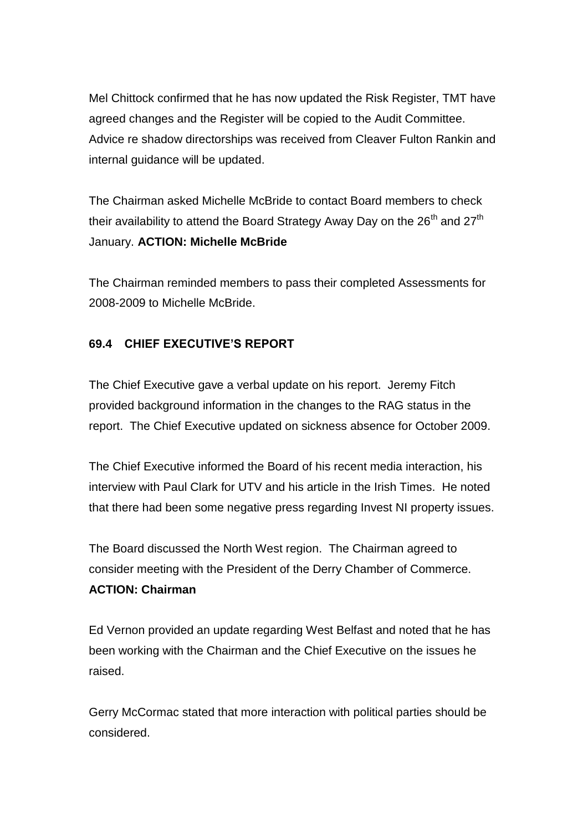Mel Chittock confirmed that he has now updated the Risk Register, TMT have agreed changes and the Register will be copied to the Audit Committee. Advice re shadow directorships was received from Cleaver Fulton Rankin and internal guidance will be updated.

The Chairman asked Michelle McBride to contact Board members to check their availability to attend the Board Strategy Away Day on the  $26<sup>th</sup>$  and  $27<sup>th</sup>$ January. **ACTION: Michelle McBride**

The Chairman reminded members to pass their completed Assessments for 2008-2009 to Michelle McBride.

# **69.4 CHIEF EXECUTIVE'S REPORT**

The Chief Executive gave a verbal update on his report. Jeremy Fitch provided background information in the changes to the RAG status in the report. The Chief Executive updated on sickness absence for October 2009.

The Chief Executive informed the Board of his recent media interaction, his interview with Paul Clark for UTV and his article in the Irish Times. He noted that there had been some negative press regarding Invest NI property issues.

The Board discussed the North West region. The Chairman agreed to consider meeting with the President of the Derry Chamber of Commerce. **ACTION: Chairman**

Ed Vernon provided an update regarding West Belfast and noted that he has been working with the Chairman and the Chief Executive on the issues he raised.

Gerry McCormac stated that more interaction with political parties should be considered.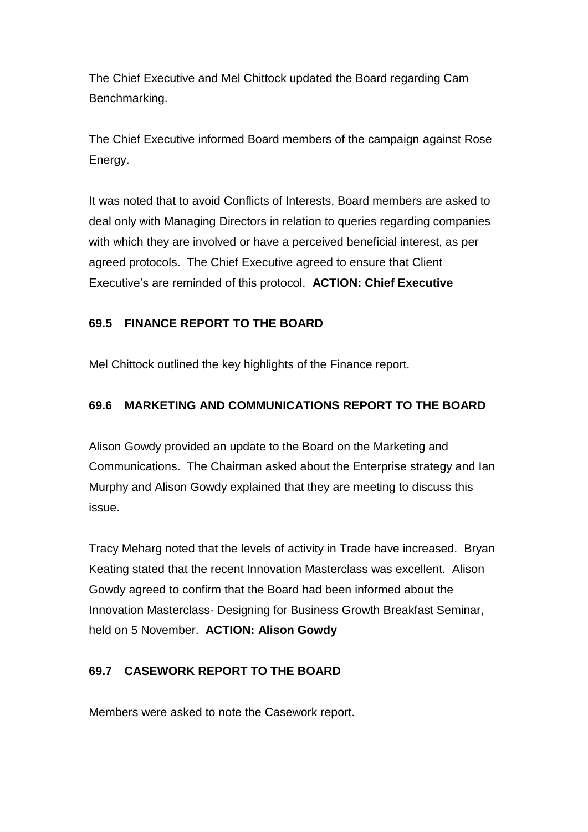The Chief Executive and Mel Chittock updated the Board regarding Cam Benchmarking.

The Chief Executive informed Board members of the campaign against Rose Energy.

It was noted that to avoid Conflicts of Interests, Board members are asked to deal only with Managing Directors in relation to queries regarding companies with which they are involved or have a perceived beneficial interest, as per agreed protocols. The Chief Executive agreed to ensure that Client Executive's are reminded of this protocol. **ACTION: Chief Executive**

# **69.5 FINANCE REPORT TO THE BOARD**

Mel Chittock outlined the key highlights of the Finance report.

# **69.6 MARKETING AND COMMUNICATIONS REPORT TO THE BOARD**

Alison Gowdy provided an update to the Board on the Marketing and Communications. The Chairman asked about the Enterprise strategy and Ian Murphy and Alison Gowdy explained that they are meeting to discuss this issue.

Tracy Meharg noted that the levels of activity in Trade have increased. Bryan Keating stated that the recent Innovation Masterclass was excellent. Alison Gowdy agreed to confirm that the Board had been informed about the Innovation Masterclass- Designing for Business Growth Breakfast Seminar, held on 5 November. **ACTION: Alison Gowdy**

# **69.7 CASEWORK REPORT TO THE BOARD**

Members were asked to note the Casework report.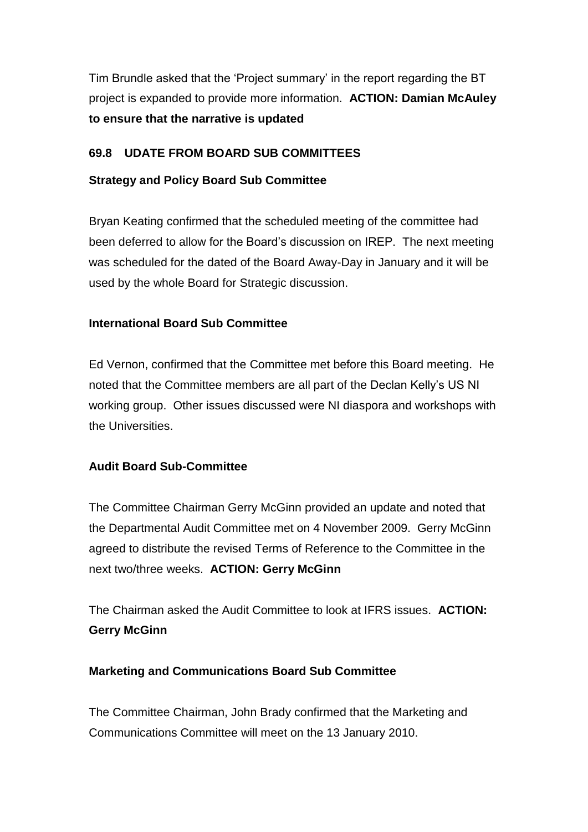Tim Brundle asked that the 'Project summary' in the report regarding the BT project is expanded to provide more information. **ACTION: Damian McAuley to ensure that the narrative is updated**

# **69.8 UDATE FROM BOARD SUB COMMITTEES**

# **Strategy and Policy Board Sub Committee**

Bryan Keating confirmed that the scheduled meeting of the committee had been deferred to allow for the Board's discussion on IREP. The next meeting was scheduled for the dated of the Board Away-Day in January and it will be used by the whole Board for Strategic discussion.

# **International Board Sub Committee**

Ed Vernon, confirmed that the Committee met before this Board meeting. He noted that the Committee members are all part of the Declan Kelly's US NI working group. Other issues discussed were NI diaspora and workshops with the Universities.

#### **Audit Board Sub-Committee**

The Committee Chairman Gerry McGinn provided an update and noted that the Departmental Audit Committee met on 4 November 2009. Gerry McGinn agreed to distribute the revised Terms of Reference to the Committee in the next two/three weeks. **ACTION: Gerry McGinn**

The Chairman asked the Audit Committee to look at IFRS issues. **ACTION: Gerry McGinn**

#### **Marketing and Communications Board Sub Committee**

The Committee Chairman, John Brady confirmed that the Marketing and Communications Committee will meet on the 13 January 2010.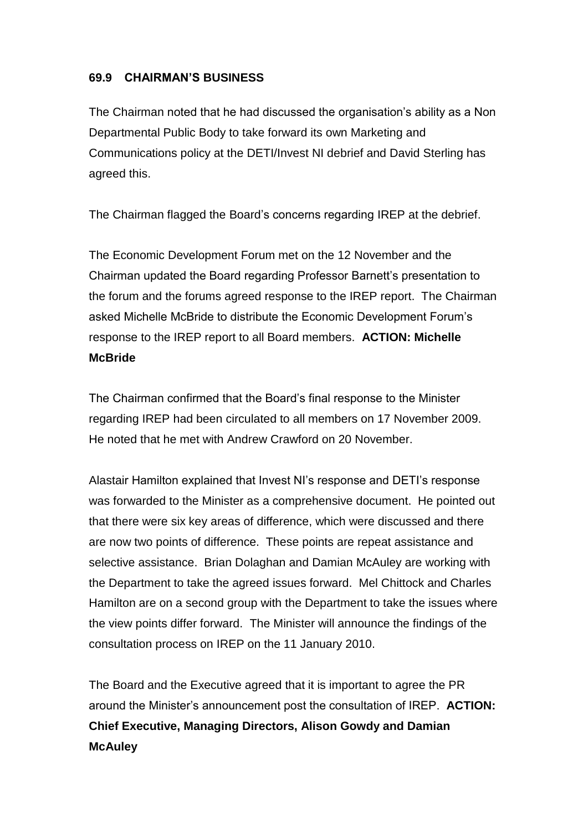## **69.9 CHAIRMAN'S BUSINESS**

The Chairman noted that he had discussed the organisation's ability as a Non Departmental Public Body to take forward its own Marketing and Communications policy at the DETI/Invest NI debrief and David Sterling has agreed this.

The Chairman flagged the Board's concerns regarding IREP at the debrief.

The Economic Development Forum met on the 12 November and the Chairman updated the Board regarding Professor Barnett's presentation to the forum and the forums agreed response to the IREP report. The Chairman asked Michelle McBride to distribute the Economic Development Forum's response to the IREP report to all Board members. **ACTION: Michelle McBride**

The Chairman confirmed that the Board's final response to the Minister regarding IREP had been circulated to all members on 17 November 2009. He noted that he met with Andrew Crawford on 20 November.

Alastair Hamilton explained that Invest NI's response and DETI's response was forwarded to the Minister as a comprehensive document. He pointed out that there were six key areas of difference, which were discussed and there are now two points of difference. These points are repeat assistance and selective assistance. Brian Dolaghan and Damian McAuley are working with the Department to take the agreed issues forward. Mel Chittock and Charles Hamilton are on a second group with the Department to take the issues where the view points differ forward. The Minister will announce the findings of the consultation process on IREP on the 11 January 2010.

The Board and the Executive agreed that it is important to agree the PR around the Minister's announcement post the consultation of IREP. **ACTION: Chief Executive, Managing Directors, Alison Gowdy and Damian McAuley**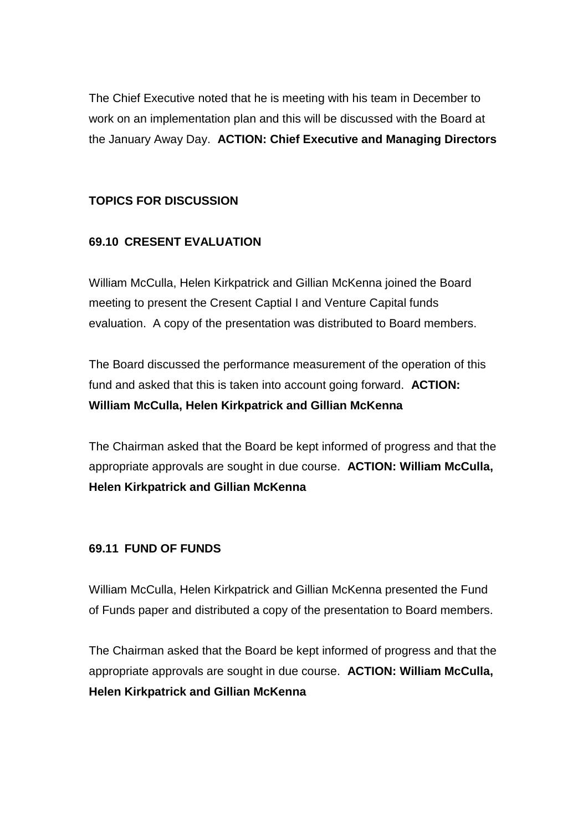The Chief Executive noted that he is meeting with his team in December to work on an implementation plan and this will be discussed with the Board at the January Away Day. **ACTION: Chief Executive and Managing Directors**

# **TOPICS FOR DISCUSSION**

# **69.10 CRESENT EVALUATION**

William McCulla, Helen Kirkpatrick and Gillian McKenna joined the Board meeting to present the Cresent Captial I and Venture Capital funds evaluation. A copy of the presentation was distributed to Board members.

The Board discussed the performance measurement of the operation of this fund and asked that this is taken into account going forward. **ACTION: William McCulla, Helen Kirkpatrick and Gillian McKenna**

The Chairman asked that the Board be kept informed of progress and that the appropriate approvals are sought in due course. **ACTION: William McCulla, Helen Kirkpatrick and Gillian McKenna**

#### **69.11 FUND OF FUNDS**

William McCulla, Helen Kirkpatrick and Gillian McKenna presented the Fund of Funds paper and distributed a copy of the presentation to Board members.

The Chairman asked that the Board be kept informed of progress and that the appropriate approvals are sought in due course. **ACTION: William McCulla, Helen Kirkpatrick and Gillian McKenna**